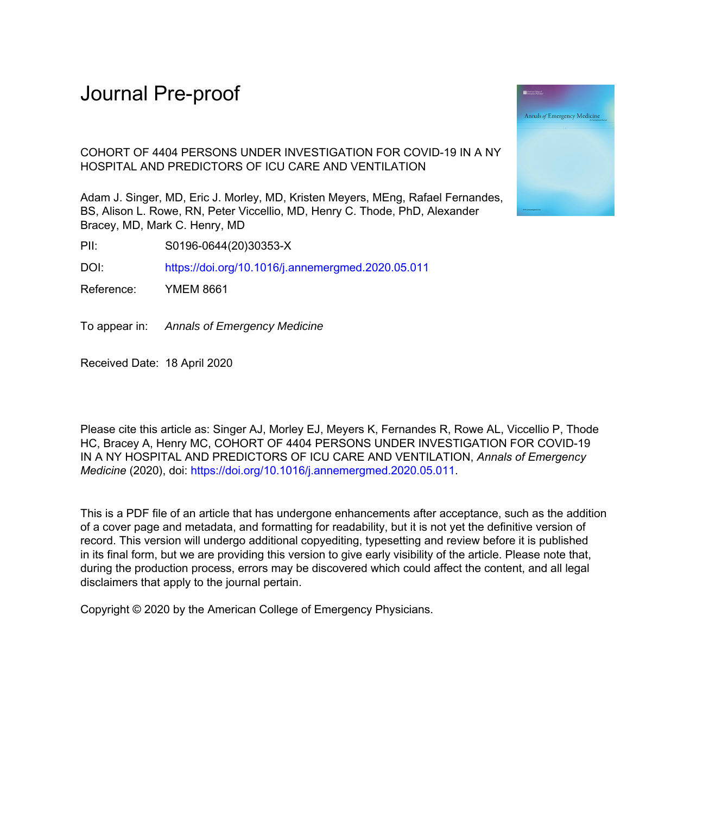# Journal Pre-proof

COHORT OF 4404 PERSONS UNDER INVESTIGATION FOR COVID-19 IN A NY HOSPITAL AND PREDICTORS OF ICU CARE AND VENTILATION

Adam J. Singer, MD, Eric J. Morley, MD, Kristen Meyers, MEng, Rafael Fernandes, BS, Alison L. Rowe, RN, Peter Viccellio, MD, Henry C. Thode, PhD, Alexander Bracey, MD, Mark C. Henry, MD

PII: S0196-0644(20)30353-X

DOI: <https://doi.org/10.1016/j.annemergmed.2020.05.011>

Reference: YMEM 8661

To appear in: Annals of Emergency Medicine

Received Date: 18 April 2020

Please cite this article as: Singer AJ, Morley EJ, Meyers K, Fernandes R, Rowe AL, Viccellio P, Thode HC, Bracey A, Henry MC, COHORT OF 4404 PERSONS UNDER INVESTIGATION FOR COVID-19 IN A NY HOSPITAL AND PREDICTORS OF ICU CARE AND VENTILATION, *Annals of Emergency Medicine* (2020), doi:<https://doi.org/10.1016/j.annemergmed.2020.05.011>.

This is a PDF file of an article that has undergone enhancements after acceptance, such as the addition of a cover page and metadata, and formatting for readability, but it is not yet the definitive version of record. This version will undergo additional copyediting, typesetting and review before it is published in its final form, but we are providing this version to give early visibility of the article. Please note that, during the production process, errors may be discovered which could affect the content, and all legal disclaimers that apply to the journal pertain.

Copyright © 2020 by the American College of Emergency Physicians.

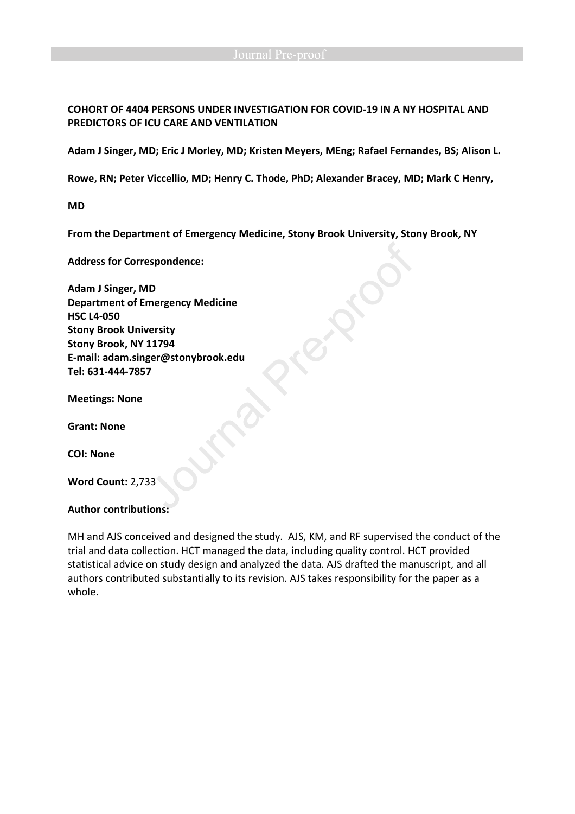**COHORT OF 4404 PERSONS UNDER INVESTIGATION FOR COVID-19 IN A NY HOSPITAL AND PREDICTORS OF ICU CARE AND VENTILATION** 

**Adam J Singer, MD; Eric J Morley, MD; Kristen Meyers, MEng; Rafael Fernandes, BS; Alison L.** 

**Rowe, RN; Peter Viccellio, MD; Henry C. Thode, PhD; Alexander Bracey, MD; Mark C Henry,** 

**MD** 

**From the Department of Emergency Medicine, Stony Brook University, Stony Brook, NY** 

**Address for Correspondence:** 

**Adam J Singer, MD Department of Emergency Medicine HSC L4-050 Stony Brook University Stony Brook, NY 11794 E-mail: adam.singer@stonybrook.edu Tel: 631-444-7857** 

**Meetings: None** 

**Grant: None** 

**COI: None** 

**Word Count:** 2,733

### **Author contributions:**

MH and AJS conceived and designed the study. AJS, KM, and RF supervised the conduct of the trial and data collection. HCT managed the data, including quality control. HCT provided statistical advice on study design and analyzed the data. AJS drafted the manuscript, and all authors contributed substantially to its revision. AJS takes responsibility for the paper as a whole.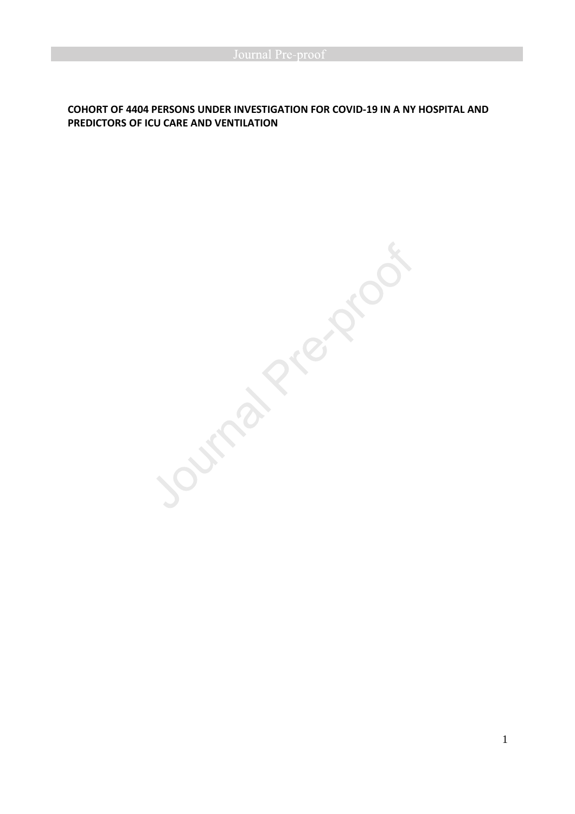# **COHORT OF 4404 PERSONS UNDER INVESTIGATION FOR COVID-19 IN A NY HOSPITAL AND PREDICTORS OF ICU CARE AND VENTILATION**

Journal Prezidoat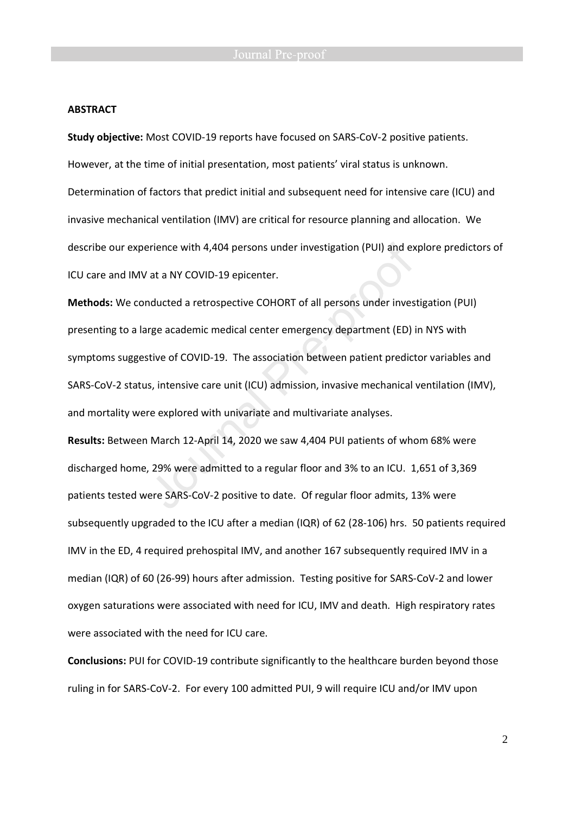### **ABSTRACT**

**Study objective:** Most COVID-19 reports have focused on SARS-CoV-2 positive patients. However, at the time of initial presentation, most patients' viral status is unknown. Determination of factors that predict initial and subsequent need for intensive care (ICU) and invasive mechanical ventilation (IMV) are critical for resource planning and allocation. We describe our experience with 4,404 persons under investigation (PUI) and explore predictors of ICU care and IMV at a NY COVID-19 epicenter.

**Methods:** We conducted a retrospective COHORT of all persons under investigation (PUI) presenting to a large academic medical center emergency department (ED) in NYS with symptoms suggestive of COVID-19. The association between patient predictor variables and SARS-CoV-2 status, intensive care unit (ICU) admission, invasive mechanical ventilation (IMV), and mortality were explored with univariate and multivariate analyses.

**Results:** Between March 12-April 14, 2020 we saw 4,404 PUI patients of whom 68% were discharged home, 29% were admitted to a regular floor and 3% to an ICU. 1,651 of 3,369 patients tested were SARS-CoV-2 positive to date. Of regular floor admits, 13% were subsequently upgraded to the ICU after a median (IQR) of 62 (28-106) hrs. 50 patients required IMV in the ED, 4 required prehospital IMV, and another 167 subsequently required IMV in a median (IQR) of 60 (26-99) hours after admission. Testing positive for SARS-CoV-2 and lower oxygen saturations were associated with need for ICU, IMV and death. High respiratory rates were associated with the need for ICU care.

**Conclusions:** PUI for COVID-19 contribute significantly to the healthcare burden beyond those ruling in for SARS-CoV-2. For every 100 admitted PUI, 9 will require ICU and/or IMV upon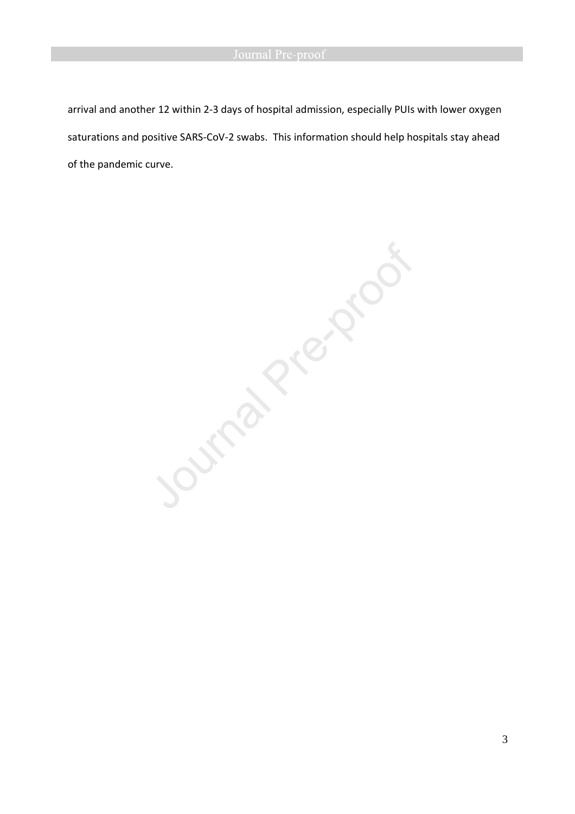arrival and another 12 within 2-3 days of hospital admission, especially PUIs with lower oxygen saturations and positive SARS-CoV-2 swabs. This information should help hospitals stay ahead

**SOUTHDRANS**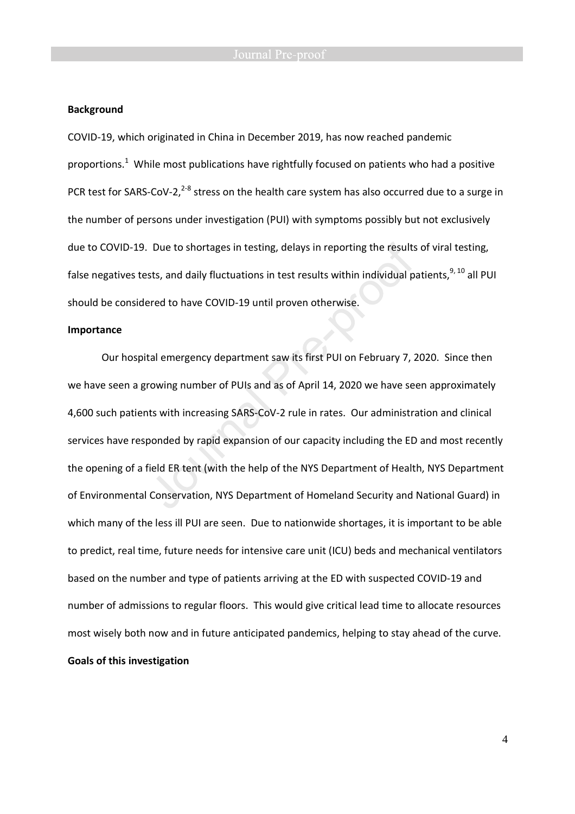### **Background**

COVID-19, which originated in China in December 2019, has now reached pandemic proportions.<sup>1</sup> While most publications have rightfully focused on patients who had a positive PCR test for SARS-CoV-2, $^{2-8}$  stress on the health care system has also occurred due to a surge in the number of persons under investigation (PUI) with symptoms possibly but not exclusively due to COVID-19. Due to shortages in testing, delays in reporting the results of viral testing, false negatives tests, and daily fluctuations in test results within individual patients,<sup>9, 10</sup> all PUI should be considered to have COVID-19 until proven otherwise.

### **Importance**

Our hospital emergency department saw its first PUI on February 7, 2020. Since then we have seen a growing number of PUIs and as of April 14, 2020 we have seen approximately 4,600 such patients with increasing SARS-CoV-2 rule in rates. Our administration and clinical services have responded by rapid expansion of our capacity including the ED and most recently the opening of a field ER tent (with the help of the NYS Department of Health, NYS Department of Environmental Conservation, NYS Department of Homeland Security and National Guard) in which many of the less ill PUI are seen. Due to nationwide shortages, it is important to be able to predict, real time, future needs for intensive care unit (ICU) beds and mechanical ventilators based on the number and type of patients arriving at the ED with suspected COVID-19 and number of admissions to regular floors. This would give critical lead time to allocate resources most wisely both now and in future anticipated pandemics, helping to stay ahead of the curve. **Goals of this investigation**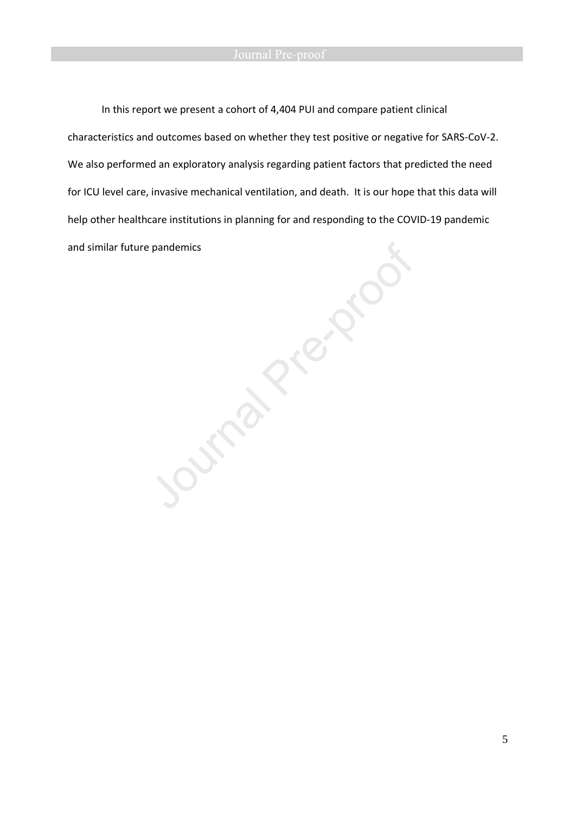# Journal Pre-proof

In this report we present a cohort of 4,404 PUI and compare patient clinical characteristics and outcomes based on whether they test positive or negative for SARS-CoV-2. We also performed an exploratory analysis regarding patient factors that predicted the need help other healthcare institutions in planning for and responding to the COVID-19 pandemic and similar future pandemics

for ICU level care, invasive mechanical ventilation, and death. It is our hope that this data will<br>help other healthcare institutions in planning for and responding to the COVID-19 pandemic<br>and similar future pandemics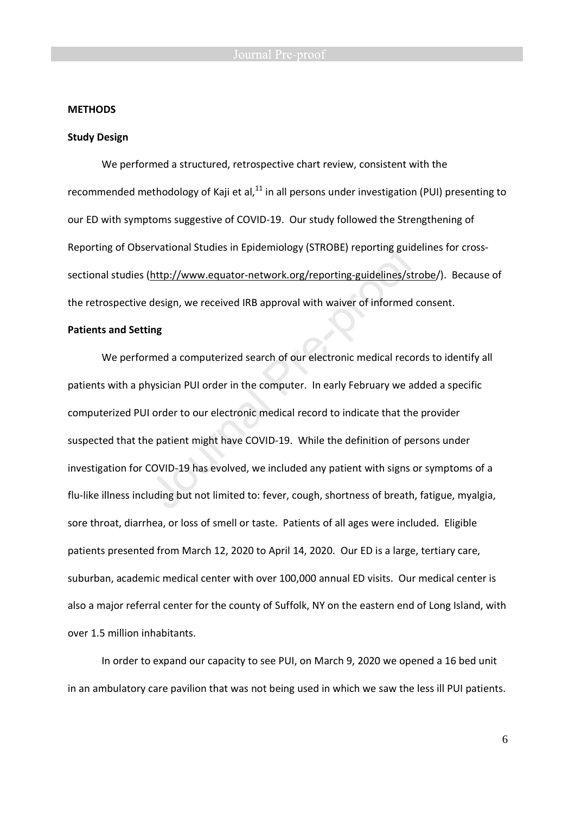### **METHODS**

### **Study Design**

We performed a structured, retrospective chart review, consistent with the recommended methodology of Kaji et al, $^{11}$  in all persons under investigation (PUI) presenting to our ED with symptoms suggestive of COVID-19. Our study followed the Strengthening of Reporting of Observational Studies in Epidemiology (STROBE) reporting guidelines for crosssectional studies (http://www.equator-network.org/reporting-guidelines/strobe/). Because of the retrospective design, we received IRB approval with waiver of informed consent.

### **Patients and Setting**

 We performed a computerized search of our electronic medical records to identify all patients with a physician PUI order in the computer. In early February we added a specific computerized PUI order to our electronic medical record to indicate that the provider suspected that the patient might have COVID-19. While the definition of persons under investigation for COVID-19 has evolved, we included any patient with signs or symptoms of a flu-like illness including but not limited to: fever, cough, shortness of breath, fatigue, myalgia, sore throat, diarrhea, or loss of smell or taste. Patients of all ages were included. Eligible patients presented from March 12, 2020 to April 14, 2020. Our ED is a large, tertiary care, suburban, academic medical center with over 100,000 annual ED visits. Our medical center is also a major referral center for the county of Suffolk, NY on the eastern end of Long Island, with over 1.5 million inhabitants.

In order to expand our capacity to see PUI, on March 9, 2020 we opened a 16 bed unit in an ambulatory care pavilion that was not being used in which we saw the less ill PUI patients.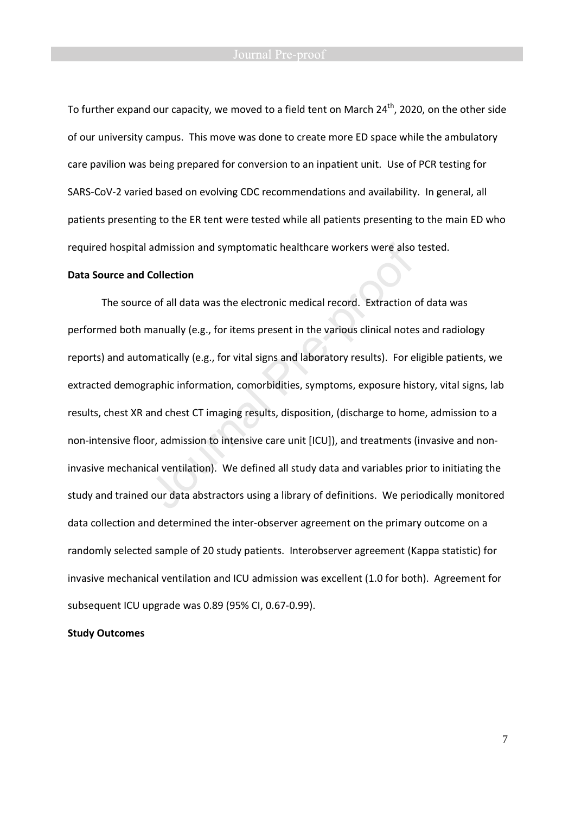To further expand our capacity, we moved to a field tent on March 24<sup>th</sup>, 2020, on the other side of our university campus. This move was done to create more ED space while the ambulatory care pavilion was being prepared for conversion to an inpatient unit. Use of PCR testing for SARS-CoV-2 varied based on evolving CDC recommendations and availability. In general, all patients presenting to the ER tent were tested while all patients presenting to the main ED who required hospital admission and symptomatic healthcare workers were also tested.

### **Data Source and Collection**

 The source of all data was the electronic medical record. Extraction of data was performed both manually (e.g., for items present in the various clinical notes and radiology reports) and automatically (e.g., for vital signs and laboratory results). For eligible patients, we extracted demographic information, comorbidities, symptoms, exposure history, vital signs, lab results, chest XR and chest CT imaging results, disposition, (discharge to home, admission to a non-intensive floor, admission to intensive care unit [ICU]), and treatments (invasive and noninvasive mechanical ventilation). We defined all study data and variables prior to initiating the study and trained our data abstractors using a library of definitions. We periodically monitored data collection and determined the inter-observer agreement on the primary outcome on a randomly selected sample of 20 study patients. Interobserver agreement (Kappa statistic) for invasive mechanical ventilation and ICU admission was excellent (1.0 for both). Agreement for subsequent ICU upgrade was 0.89 (95% CI, 0.67-0.99).

### **Study Outcomes**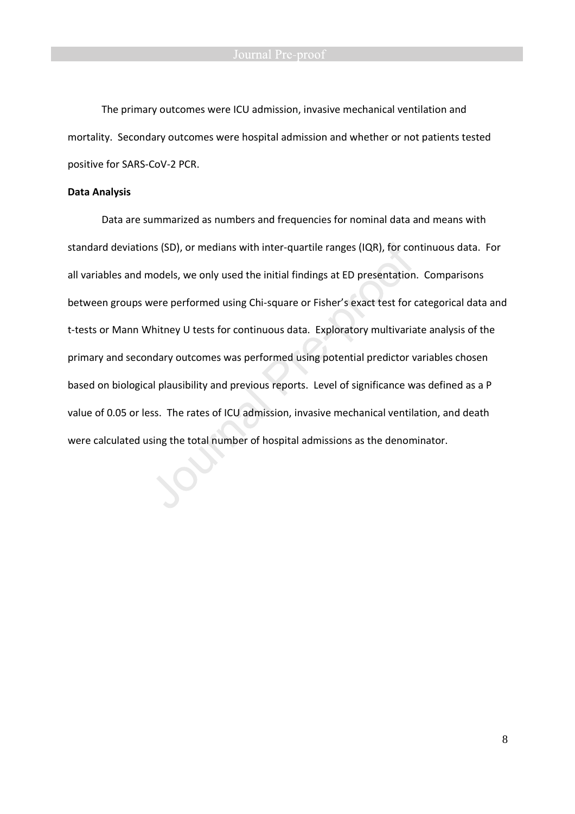The primary outcomes were ICU admission, invasive mechanical ventilation and mortality. Secondary outcomes were hospital admission and whether or not patients tested positive for SARS-CoV-2 PCR.

### **Data Analysis**

 Data are summarized as numbers and frequencies for nominal data and means with standard deviations (SD), or medians with inter-quartile ranges (IQR), for continuous data. For all variables and models, we only used the initial findings at ED presentation. Comparisons between groups were performed using Chi-square or Fisher's exact test for categorical data and t-tests or Mann Whitney U tests for continuous data. Exploratory multivariate analysis of the primary and secondary outcomes was performed using potential predictor variables chosen based on biological plausibility and previous reports. Level of significance was defined as a P value of 0.05 or less. The rates of ICU admission, invasive mechanical ventilation, and death were calculated using the total number of hospital admissions as the denominator.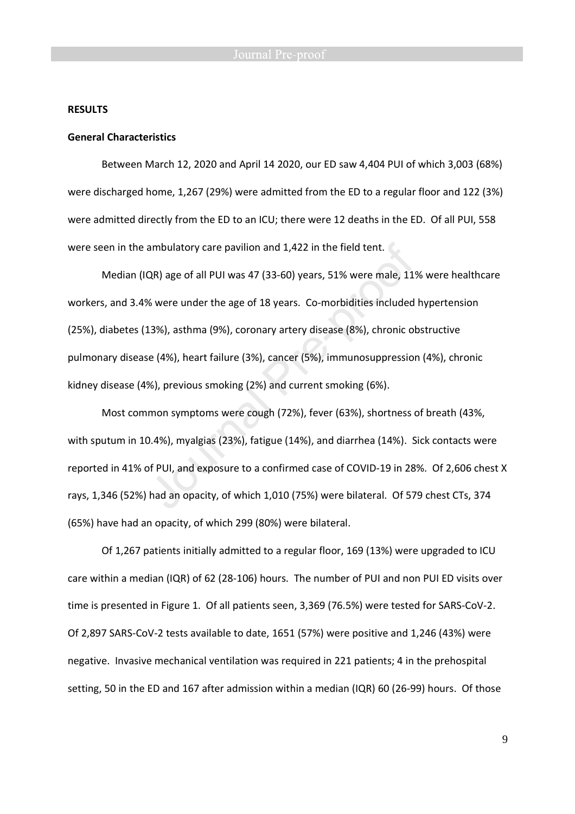### **RESULTS**

### **General Characteristics**

 Between March 12, 2020 and April 14 2020, our ED saw 4,404 PUI of which 3,003 (68%) were discharged home, 1,267 (29%) were admitted from the ED to a regular floor and 122 (3%) were admitted directly from the ED to an ICU; there were 12 deaths in the ED. Of all PUI, 558 were seen in the ambulatory care pavilion and 1,422 in the field tent.

Median (IQR) age of all PUI was 47 (33-60) years, 51% were male, 11% were healthcare workers, and 3.4% were under the age of 18 years. Co-morbidities included hypertension (25%), diabetes (13%), asthma (9%), coronary artery disease (8%), chronic obstructive pulmonary disease (4%), heart failure (3%), cancer (5%), immunosuppression (4%), chronic kidney disease (4%), previous smoking (2%) and current smoking (6%).

Most common symptoms were cough (72%), fever (63%), shortness of breath (43%, with sputum in 10.4%), myalgias (23%), fatigue (14%), and diarrhea (14%). Sick contacts were reported in 41% of PUI, and exposure to a confirmed case of COVID-19 in 28%. Of 2,606 chest X rays, 1,346 (52%) had an opacity, of which 1,010 (75%) were bilateral. Of 579 chest CTs, 374 (65%) have had an opacity, of which 299 (80%) were bilateral.

 Of 1,267 patients initially admitted to a regular floor, 169 (13%) were upgraded to ICU care within a median (IQR) of 62 (28-106) hours. The number of PUI and non PUI ED visits over time is presented in Figure 1. Of all patients seen, 3,369 (76.5%) were tested for SARS-CoV-2. Of 2,897 SARS-CoV-2 tests available to date, 1651 (57%) were positive and 1,246 (43%) were negative. Invasive mechanical ventilation was required in 221 patients; 4 in the prehospital setting, 50 in the ED and 167 after admission within a median (IQR) 60 (26-99) hours. Of those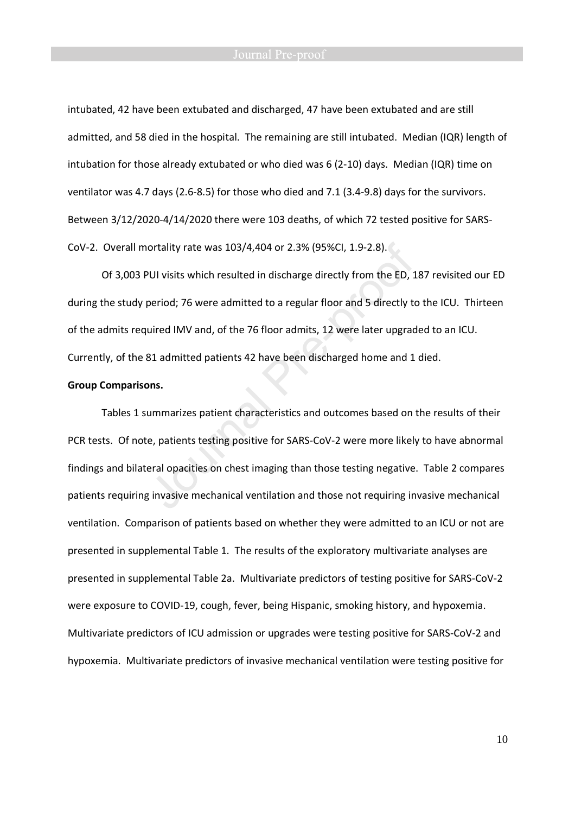intubated, 42 have been extubated and discharged, 47 have been extubated and are still admitted, and 58 died in the hospital. The remaining are still intubated. Median (IQR) length of intubation for those already extubated or who died was 6 (2-10) days. Median (IQR) time on ventilator was 4.7 days (2.6-8.5) for those who died and 7.1 (3.4-9.8) days for the survivors. Between 3/12/2020-4/14/2020 there were 103 deaths, of which 72 tested positive for SARS-CoV-2. Overall mortality rate was 103/4,404 or 2.3% (95%CI, 1.9-2.8).

Of 3,003 PUI visits which resulted in discharge directly from the ED, 187 revisited our ED during the study period; 76 were admitted to a regular floor and 5 directly to the ICU. Thirteen of the admits required IMV and, of the 76 floor admits, 12 were later upgraded to an ICU. Currently, of the 81 admitted patients 42 have been discharged home and 1 died.

### **Group Comparisons.**

 Tables 1 summarizes patient characteristics and outcomes based on the results of their PCR tests. Of note, patients testing positive for SARS-CoV-2 were more likely to have abnormal findings and bilateral opacities on chest imaging than those testing negative. Table 2 compares patients requiring invasive mechanical ventilation and those not requiring invasive mechanical ventilation. Comparison of patients based on whether they were admitted to an ICU or not are presented in supplemental Table 1. The results of the exploratory multivariate analyses are presented in supplemental Table 2a. Multivariate predictors of testing positive for SARS-CoV-2 were exposure to COVID-19, cough, fever, being Hispanic, smoking history, and hypoxemia. Multivariate predictors of ICU admission or upgrades were testing positive for SARS-CoV-2 and hypoxemia. Multivariate predictors of invasive mechanical ventilation were testing positive for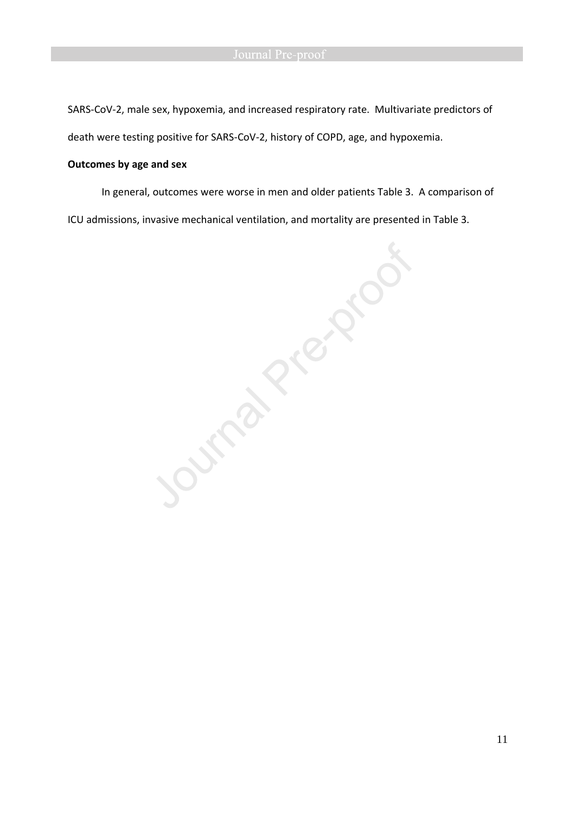SARS-CoV-2, male sex, hypoxemia, and increased respiratory rate. Multivariate predictors of death were testing positive for SARS-CoV-2, history of COPD, age, and hypoxemia.

## **Outcomes by age and sex**

ICU admissions, invasive mechanical ventilation, and mortality are presented in Table 3.

In general, outcomes were worse in men and older patients Table 3. A comparison of<br>missions, invasive mechanical ventilation, and mortality are presented in Table 3.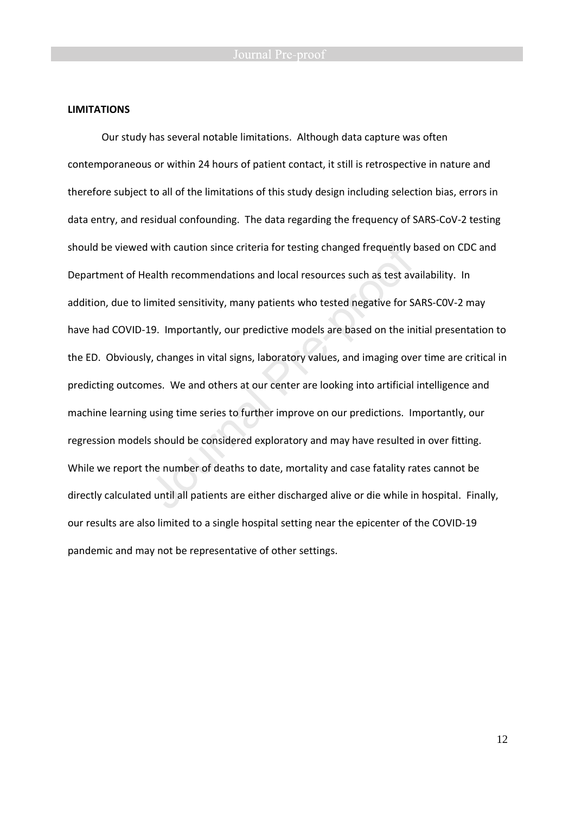### **LIMITATIONS**

 Our study has several notable limitations. Although data capture was often contemporaneous or within 24 hours of patient contact, it still is retrospective in nature and therefore subject to all of the limitations of this study design including selection bias, errors in data entry, and residual confounding. The data regarding the frequency of SARS-CoV-2 testing should be viewed with caution since criteria for testing changed frequently based on CDC and Department of Health recommendations and local resources such as test availability. In addition, due to limited sensitivity, many patients who tested negative for SARS-C0V-2 may have had COVID-19. Importantly, our predictive models are based on the initial presentation to the ED. Obviously, changes in vital signs, laboratory values, and imaging over time are critical in predicting outcomes. We and others at our center are looking into artificial intelligence and machine learning using time series to further improve on our predictions. Importantly, our regression models should be considered exploratory and may have resulted in over fitting. While we report the number of deaths to date, mortality and case fatality rates cannot be directly calculated until all patients are either discharged alive or die while in hospital. Finally, our results are also limited to a single hospital setting near the epicenter of the COVID-19 pandemic and may not be representative of other settings.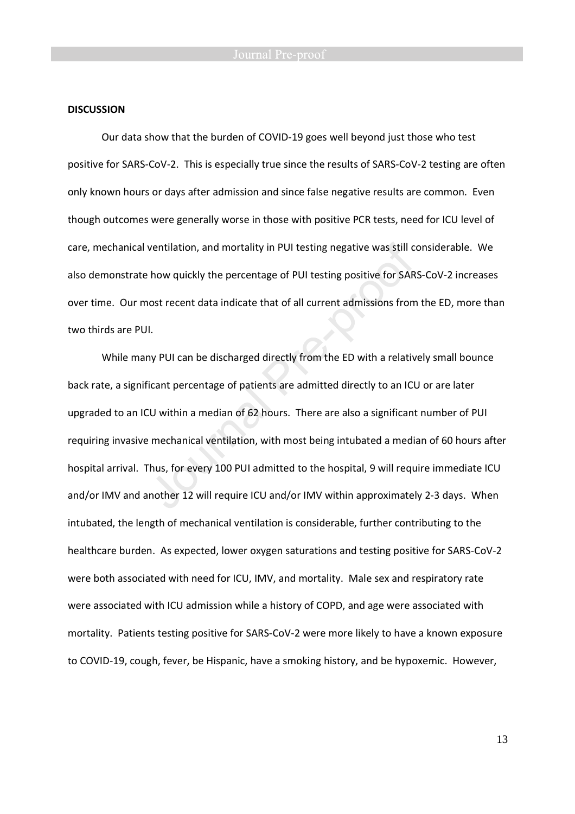### **DISCUSSION**

 Our data show that the burden of COVID-19 goes well beyond just those who test positive for SARS-CoV-2. This is especially true since the results of SARS-CoV-2 testing are often only known hours or days after admission and since false negative results are common. Even though outcomes were generally worse in those with positive PCR tests, need for ICU level of care, mechanical ventilation, and mortality in PUI testing negative was still considerable. We also demonstrate how quickly the percentage of PUI testing positive for SARS-CoV-2 increases over time. Our most recent data indicate that of all current admissions from the ED, more than two thirds are PUI.

While many PUI can be discharged directly from the ED with a relatively small bounce back rate, a significant percentage of patients are admitted directly to an ICU or are later upgraded to an ICU within a median of 62 hours. There are also a significant number of PUI requiring invasive mechanical ventilation, with most being intubated a median of 60 hours after hospital arrival. Thus, for every 100 PUI admitted to the hospital, 9 will require immediate ICU and/or IMV and another 12 will require ICU and/or IMV within approximately 2-3 days. When intubated, the length of mechanical ventilation is considerable, further contributing to the healthcare burden. As expected, lower oxygen saturations and testing positive for SARS-CoV-2 were both associated with need for ICU, IMV, and mortality. Male sex and respiratory rate were associated with ICU admission while a history of COPD, and age were associated with mortality. Patients testing positive for SARS-CoV-2 were more likely to have a known exposure to COVID-19, cough, fever, be Hispanic, have a smoking history, and be hypoxemic. However,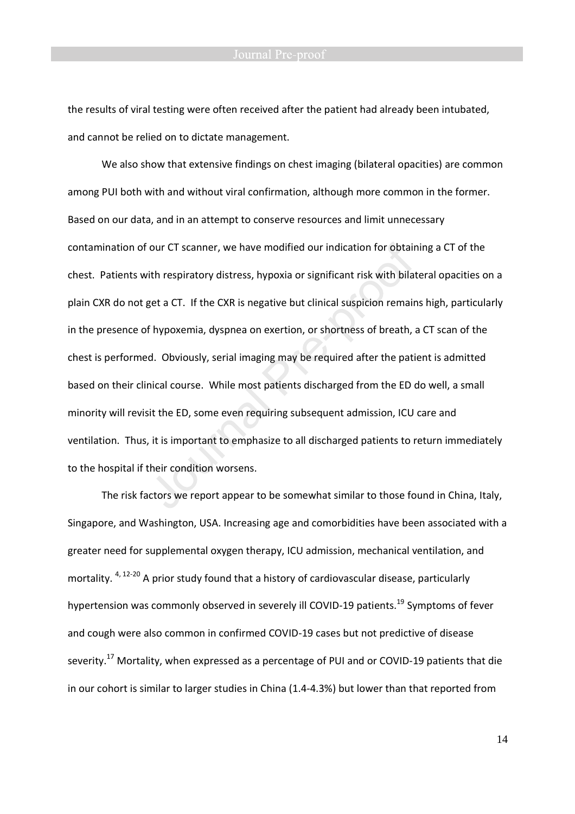the results of viral testing were often received after the patient had already been intubated, and cannot be relied on to dictate management.

We also show that extensive findings on chest imaging (bilateral opacities) are common among PUI both with and without viral confirmation, although more common in the former. Based on our data, and in an attempt to conserve resources and limit unnecessary contamination of our CT scanner, we have modified our indication for obtaining a CT of the chest. Patients with respiratory distress, hypoxia or significant risk with bilateral opacities on a plain CXR do not get a CT. If the CXR is negative but clinical suspicion remains high, particularly in the presence of hypoxemia, dyspnea on exertion, or shortness of breath, a CT scan of the chest is performed. Obviously, serial imaging may be required after the patient is admitted based on their clinical course. While most patients discharged from the ED do well, a small minority will revisit the ED, some even requiring subsequent admission, ICU care and ventilation. Thus, it is important to emphasize to all discharged patients to return immediately to the hospital if their condition worsens.

The risk factors we report appear to be somewhat similar to those found in China, Italy, Singapore, and Washington, USA. Increasing age and comorbidities have been associated with a greater need for supplemental oxygen therapy, ICU admission, mechanical ventilation, and mortality. <sup>4, 12-20</sup> A prior study found that a history of cardiovascular disease, particularly hypertension was commonly observed in severely ill COVID-19 patients.<sup>19</sup> Symptoms of fever and cough were also common in confirmed COVID-19 cases but not predictive of disease severity.<sup>17</sup> Mortality, when expressed as a percentage of PUI and or COVID-19 patients that die in our cohort is similar to larger studies in China (1.4-4.3%) but lower than that reported from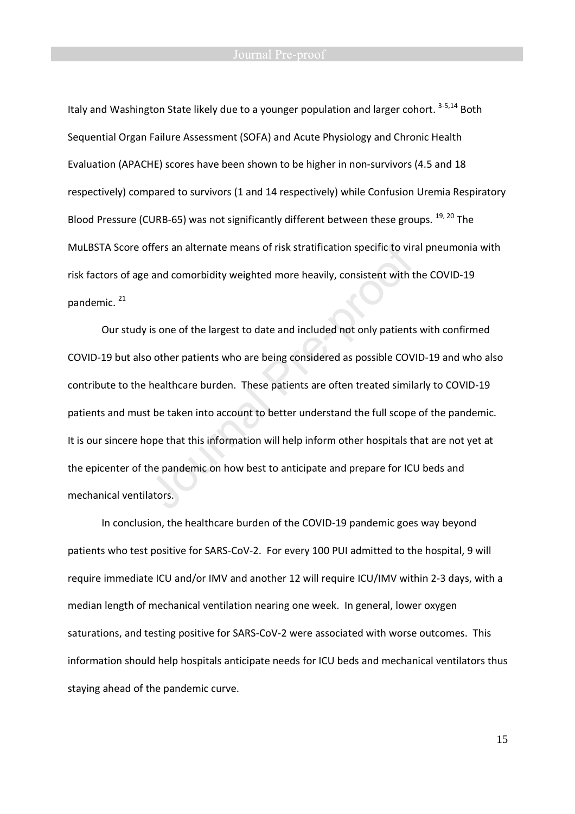Italy and Washington State likely due to a younger population and larger cohort. <sup>3-5,14</sup> Both Sequential Organ Failure Assessment (SOFA) and Acute Physiology and Chronic Health Evaluation (APACHE) scores have been shown to be higher in non-survivors (4.5 and 18 respectively) compared to survivors (1 and 14 respectively) while Confusion Uremia Respiratory Blood Pressure (CURB-65) was not significantly different between these groups. <sup>19, 20</sup> The MuLBSTA Score offers an alternate means of risk stratification specific to viral pneumonia with risk factors of age and comorbidity weighted more heavily, consistent with the COVID-19 pandemic. <sup>21</sup>

Our study is one of the largest to date and included not only patients with confirmed COVID-19 but also other patients who are being considered as possible COVID-19 and who also contribute to the healthcare burden. These patients are often treated similarly to COVID-19 patients and must be taken into account to better understand the full scope of the pandemic. It is our sincere hope that this information will help inform other hospitals that are not yet at the epicenter of the pandemic on how best to anticipate and prepare for ICU beds and mechanical ventilators.

In conclusion, the healthcare burden of the COVID-19 pandemic goes way beyond patients who test positive for SARS-CoV-2. For every 100 PUI admitted to the hospital, 9 will require immediate ICU and/or IMV and another 12 will require ICU/IMV within 2-3 days, with a median length of mechanical ventilation nearing one week. In general, lower oxygen saturations, and testing positive for SARS-CoV-2 were associated with worse outcomes. This information should help hospitals anticipate needs for ICU beds and mechanical ventilators thus staying ahead of the pandemic curve.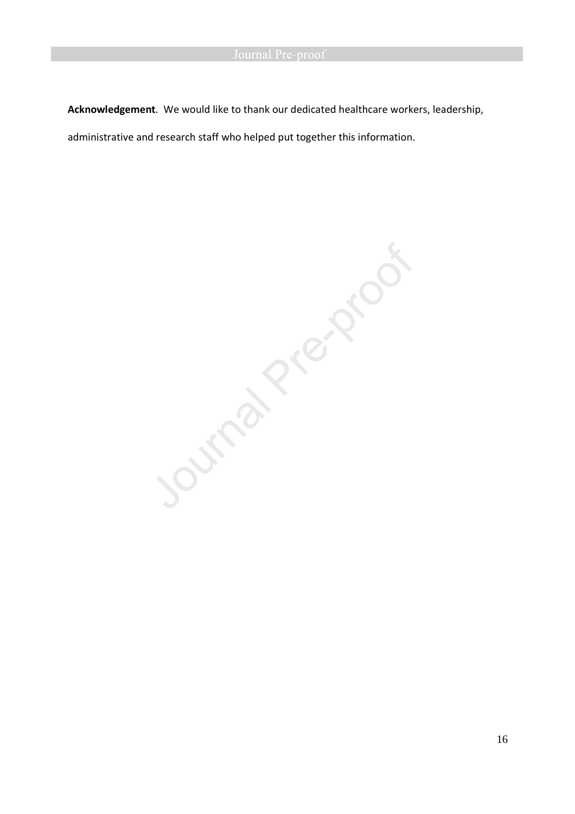**Acknowledgement**. We would like to thank our dedicated healthcare workers, leadership,

administrative and research staff who helped put together this information.

Journal President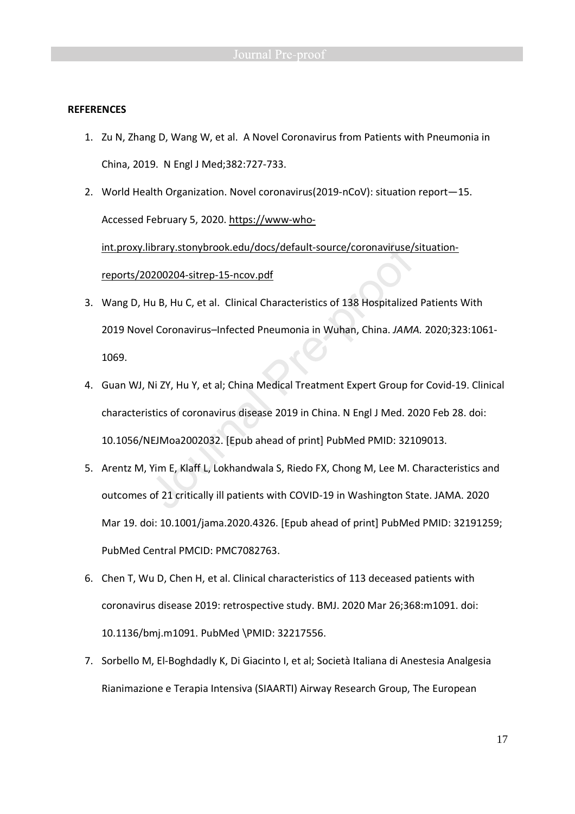### **REFERENCES**

- 1. Zu N, Zhang D, Wang W, et al. A Novel Coronavirus from Patients with Pneumonia in China, 2019. N Engl J Med;382:727-733.
- 2. World Health Organization. Novel coronavirus(2019-nCoV): situation report—15. Accessed February 5, 2020. https://www-whoint.proxy.library.stonybrook.edu/docs/default-source/coronaviruse/situationreports/20200204-sitrep-15-ncov.pdf
- 3. Wang D, Hu B, Hu C, et al. Clinical Characteristics of 138 Hospitalized Patients With 2019 Novel Coronavirus–Infected Pneumonia in Wuhan, China. *JAMA.* 2020;323:1061- 1069.
- 4. Guan WJ, Ni ZY, Hu Y, et al; China Medical Treatment Expert Group for Covid-19. Clinical characteristics of coronavirus disease 2019 in China. N Engl J Med. 2020 Feb 28. doi: 10.1056/NEJMoa2002032. [Epub ahead of print] PubMed PMID: 32109013.
- 5. Arentz M, Yim E, Klaff L, Lokhandwala S, Riedo FX, Chong M, Lee M. Characteristics and outcomes of 21 critically ill patients with COVID-19 in Washington State. JAMA. 2020 Mar 19. doi: 10.1001/jama.2020.4326. [Epub ahead of print] PubMed PMID: 32191259; PubMed Central PMCID: PMC7082763.
- 6. Chen T, Wu D, Chen H, et al. Clinical characteristics of 113 deceased patients with coronavirus disease 2019: retrospective study. BMJ. 2020 Mar 26;368:m1091. doi: 10.1136/bmj.m1091. PubMed \PMID: 32217556.
- 7. Sorbello M, El-Boghdadly K, Di Giacinto I, et al; Società Italiana di Anestesia Analgesia Rianimazione e Terapia Intensiva (SIAARTI) Airway Research Group, The European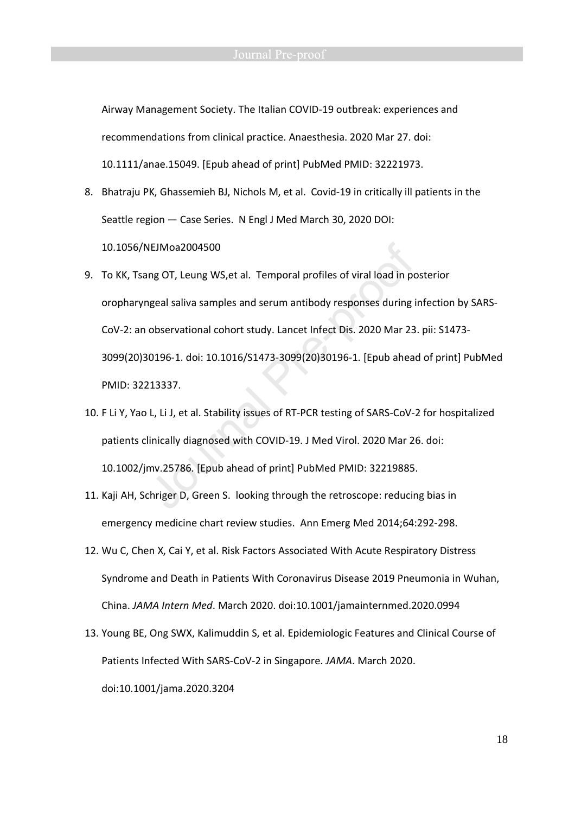Airway Management Society. The Italian COVID-19 outbreak: experiences and recommendations from clinical practice. Anaesthesia. 2020 Mar 27. doi: 10.1111/anae.15049. [Epub ahead of print] PubMed PMID: 32221973.

- 8. Bhatraju PK, Ghassemieh BJ, Nichols M, et al. Covid-19 in critically ill patients in the Seattle region — Case Series. N Engl J Med March 30, 2020 DOI: 10.1056/NEJMoa2004500
- 9. To KK, Tsang OT, Leung WS,et al. Temporal profiles of viral load in posterior oropharyngeal saliva samples and serum antibody responses during infection by SARS-CoV-2: an observational cohort study. Lancet Infect Dis. 2020 Mar 23. pii: S1473- 3099(20)30196-1. doi: 10.1016/S1473-3099(20)30196-1. [Epub ahead of print] PubMed PMID: 32213337.
- 10. F Li Y, Yao L, Li J, et al. Stability issues of RT-PCR testing of SARS-CoV-2 for hospitalized patients clinically diagnosed with COVID-19. J Med Virol. 2020 Mar 26. doi: 10.1002/jmv.25786. [Epub ahead of print] PubMed PMID: 32219885.
- 11. Kaji AH, Schriger D, Green S. looking through the retroscope: reducing bias in emergency medicine chart review studies. Ann Emerg Med 2014;64:292-298.
- 12. Wu C, Chen X, Cai Y, et al. Risk Factors Associated With Acute Respiratory Distress Syndrome and Death in Patients With Coronavirus Disease 2019 Pneumonia in Wuhan, China. *JAMA Intern Med*. March 2020. doi:10.1001/jamainternmed.2020.0994
- 13. Young BE, Ong SWX, Kalimuddin S, et al. Epidemiologic Features and Clinical Course of Patients Infected With SARS-CoV-2 in Singapore. *JAMA*. March 2020. doi:10.1001/jama.2020.3204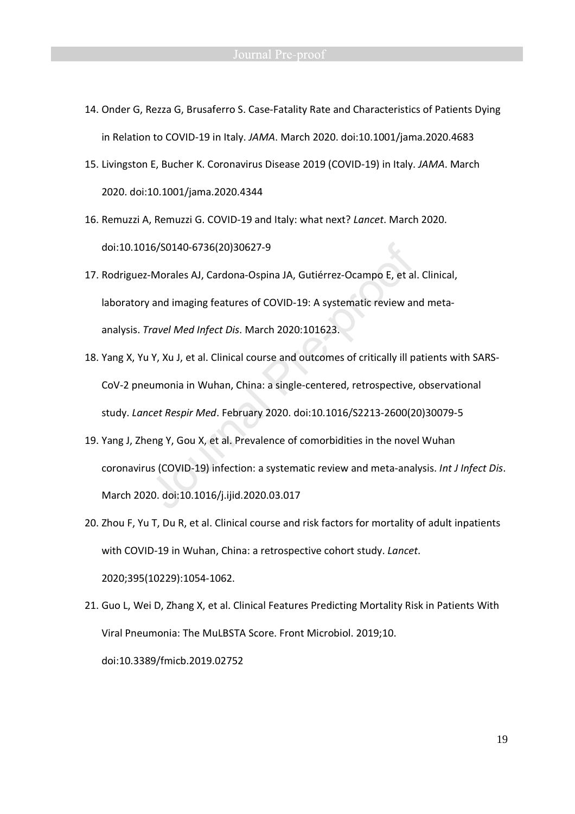- 14. Onder G, Rezza G, Brusaferro S. Case-Fatality Rate and Characteristics of Patients Dying in Relation to COVID-19 in Italy. *JAMA*. March 2020. doi:10.1001/jama.2020.4683
- 15. Livingston E, Bucher K. Coronavirus Disease 2019 (COVID-19) in Italy. *JAMA*. March 2020. doi:10.1001/jama.2020.4344
- 16. Remuzzi A, Remuzzi G. COVID-19 and Italy: what next? *Lancet*. March 2020. doi:10.1016/S0140-6736(20)30627-9
- 17. Rodriguez-Morales AJ, Cardona-Ospina JA, Gutiérrez-Ocampo E, et al. Clinical, laboratory and imaging features of COVID-19: A systematic review and metaanalysis. *Travel Med Infect Dis*. March 2020:101623.
- 18. Yang X, Yu Y, Xu J, et al. Clinical course and outcomes of critically ill patients with SARS-CoV-2 pneumonia in Wuhan, China: a single-centered, retrospective, observational study. *Lancet Respir Med*. February 2020. doi:10.1016/S2213-2600(20)30079-5
- 19. Yang J, Zheng Y, Gou X, et al. Prevalence of comorbidities in the novel Wuhan coronavirus (COVID-19) infection: a systematic review and meta-analysis. *Int J Infect Dis*. March 2020. doi:10.1016/j.ijid.2020.03.017
- 20. Zhou F, Yu T, Du R, et al. Clinical course and risk factors for mortality of adult inpatients with COVID-19 in Wuhan, China: a retrospective cohort study. *Lancet*. 2020;395(10229):1054-1062.
- 21. Guo L, Wei D, Zhang X, et al. Clinical Features Predicting Mortality Risk in Patients With Viral Pneumonia: The MuLBSTA Score. Front Microbiol. 2019;10. doi:10.3389/fmicb.2019.02752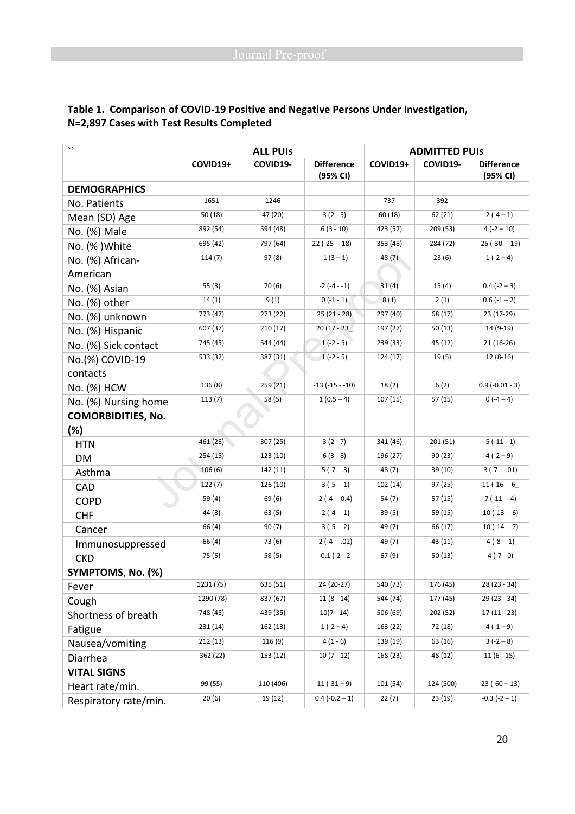| $\cdot$                   | <b>ALL PUIS</b> |           | <b>ADMITTED PUIS</b>          |          |           |                               |
|---------------------------|-----------------|-----------|-------------------------------|----------|-----------|-------------------------------|
|                           | COVID19+        | COVID19-  | <b>Difference</b><br>(95% CI) | COVID19+ | COVID19-  | <b>Difference</b><br>(95% CI) |
| <b>DEMOGRAPHICS</b>       |                 |           |                               |          |           |                               |
| No. Patients              | 1651            | 1246      |                               | 737      | 392       |                               |
| Mean (SD) Age             | 50 (18)         | 47 (20)   | $3(2-5)$                      | 60 (18)  | 62(21)    | $2(-4-1)$                     |
| No. (%) Male              | 892 (54)        | 594 (48)  | $6(3 - 10)$                   | 423 (57) | 209 (53)  | $4(-2 - 10)$                  |
| No. (%) White             | 695 (42)        | 797 (64)  | $-22$ ( $-25 - 18$ )          | 353 (48) | 284 (72)  | $-25$ ( $-30 - 19$ )          |
| No. (%) African-          | 114(7)          | 97(8)     | $-1(3-1)$                     | 48 (7)   | 23(6)     | $1(-2-4)$                     |
| American                  |                 |           |                               |          |           |                               |
| No. (%) Asian             | 55(3)           | 70 (6)    | $-2(-4-1)$                    | 31(4)    | 15(4)     | $0.4(-2-3)$                   |
| No. (%) other             | 14(1)           | 9(1)      | $0(-1-1)$                     | 8(1)     | 2(1)      | $0.6(-1-2)$                   |
| No. (%) unknown           | 773 (47)        | 273 (22)  | $25(21 - 28)$                 | 297 (40) | 68 (17)   | 23 (17-29)                    |
| No. (%) Hispanic          | 607 (37)        | 210(17)   | $20(17 - 23)$                 | 197 (27) | 50(13)    | 14 (9-19)                     |
| No. (%) Sick contact      | 745 (45)        | 544 (44)  | $1(-2-5)$                     | 239 (33) | 45 (12)   | 21 (16-26)                    |
| No.(%) COVID-19           | 533 (32)        | 387 (31)  | $1(-2-5)$                     | 124 (17) | 19(5)     | $12(8-16)$                    |
| contacts                  |                 |           |                               |          |           |                               |
| No. (%) HCW               | 136 (8)         | 259 (21)  | $-13(-15 - -10)$              | 18(2)    | 6(2)      | $0.9(-0.01 - 3)$              |
| No. (%) Nursing home      | 113(7)          | 58 (5)    | $1(0.5 - 4)$                  | 107 (15) | 57(15)    | $0(-4-4)$                     |
| <b>COMORBIDITIES, No.</b> |                 |           |                               |          |           |                               |
| (%)                       |                 |           |                               |          |           |                               |
| <b>HTN</b>                | 461 (28)        | 307 (25)  | $3(2 - 7)$                    | 341(46)  | 201 (51)  | $-5(-11-1)$                   |
| <b>DM</b>                 | 254 (15)        | 123 (10)  | $6(3 - 8)$                    | 196 (27) | 90 (23)   | $4(-2-9)$                     |
| Asthma                    | 106(6)          | 142 (11)  | $-5(-7 - -3)$                 | 48 (7)   | 39 (10)   | $-3(-7 - .01)$                |
| CAD                       | 122(7)          | 126 (10)  | $-3(-5 - -1)$                 | 102 (14) | 97 (25)   | $-11 (-16 - -6)$              |
| <b>COPD</b>               | 59 (4)          | 69 (6)    | $-2(-4 - -0.4)$               | 54(7)    | 57 (15)   | $-7(-11 - -4)$                |
| <b>CHF</b>                | 44 (3)          | 63(5)     | $-2(-4-1)$                    | 39(5)    | 59 (15)   | $-10$ ( $-13 - -6$ )          |
| Cancer                    | 66 (4)          | 90(7)     | $-3(-5 - -2)$                 | 49 (7)   | 66 (17)   | $-10(-14 - 7)$                |
| Immunosuppressed          | 66 (4)          | 73 (6)    | $-2(-4 - .02)$                | 49 (7)   | 43 (11)   | $-4(-8-1)$                    |
| <b>CKD</b>                | 75 (5)          | 58 (5)    | $-0.1$ ( $-2$ - 2             | 67(9)    | 50(13)    | $-4(-7-0)$                    |
| SYMPTOMS, No. (%)         |                 |           |                               |          |           |                               |
| Fever                     | 1231 (75)       | 635 (51)  | 24 (20-27)                    | 540 (73) | 176 (45)  | $28(23 - 34)$                 |
| Cough                     | 1290 (78)       | 837 (67)  | $11(8 - 14)$                  | 544 (74) | 177 (45)  | 29 (23 - 34)                  |
| Shortness of breath       | 748 (45)        | 439 (35)  | $10(7 - 14)$                  | 506 (69) | 202 (52)  | $17(11 - 23)$                 |
| Fatigue                   | 231(14)         | 162 (13)  | $1(-2-4)$                     | 163 (22) | 72 (18)   | $4(-1-9)$                     |
| Nausea/vomiting           | 212(13)         | 116 (9)   | $4(1-6)$                      | 139 (19) | 63 (16)   | $3(-2-8)$                     |
| Diarrhea                  | 362 (22)        | 153 (12)  | $10(7 - 12)$                  | 168 (23) | 48 (12)   | $11(6-15)$                    |
| <b>VITAL SIGNS</b>        |                 |           |                               |          |           |                               |
| Heart rate/min.           | 99 (55)         | 110 (406) | $11(-31-9)$                   | 101 (54) | 124 (500) | $-23(-60-13)$                 |
| Respiratory rate/min.     | 20(6)           | 19 (12)   | $0.4 (-0.2 - 1)$              | 22(7)    | 23 (19)   | $-0.3$ $(-2 - 1)$             |

# **Table 1. Comparison of COVID-19 Positive and Negative Persons Under Investigation, N=2,897 Cases with Test Results Completed**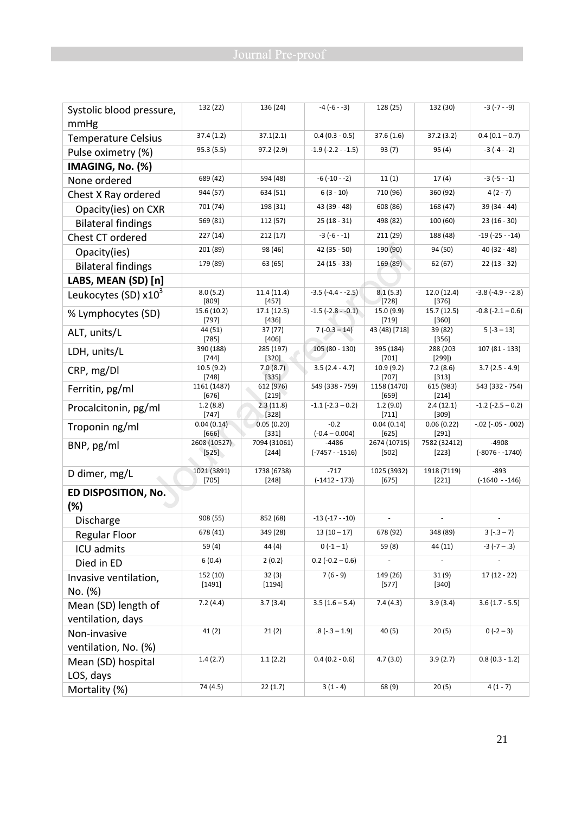| Systolic blood pressure,   | 132 (22)               | 136 (24)                | $-4(-6 - -3)$               | 128 (25)                | 132 (30)                    | $-3(-7 - -9)$               |
|----------------------------|------------------------|-------------------------|-----------------------------|-------------------------|-----------------------------|-----------------------------|
| mmHg                       |                        |                         |                             |                         |                             |                             |
| <b>Temperature Celsius</b> | 37.4(1.2)              | 37.1(2.1)               | $0.4(0.3 - 0.5)$            | 37.6(1.6)               | 37.2(3.2)                   | $0.4(0.1 - 0.7)$            |
| Pulse oximetry (%)         | 95.3 (5.5)             | 97.2(2.9)               | $-1.9$ ( $-2.2 - 1.5$ )     | 93 (7)                  | 95(4)                       | $-3(-4 - -2)$               |
| IMAGING, No. (%)           |                        |                         |                             |                         |                             |                             |
| None ordered               | 689 (42)               | 594 (48)                | $-6(-10 - 2)$               | 11(1)                   | 17(4)                       | $-3(-5 - -1)$               |
| Chest X Ray ordered        | 944 (57)               | 634 (51)                | $6(3 - 10)$                 | 710 (96)                | 360 (92)                    | $4(2 - 7)$                  |
| Opacity(ies) on CXR        | 701 (74)               | 198 (31)                | 43 (39 - 48)                | 608 (86)                | 168 (47)                    | $39(34 - 44)$               |
| <b>Bilateral findings</b>  | 569 (81)               | 112 (57)                | $25(18-31)$                 | 498 (82)                | 100 (60)                    | $23(16-30)$                 |
| Chest CT ordered           | 227 (14)               | 212(17)                 | $-3(-6-1)$                  | 211 (29)                | 188 (48)                    | $-19(-25 - -14)$            |
| Opacity(ies)               | 201 (89)               | 98 (46)                 | $42(35-50)$                 | 190 (90)                | 94 (50)                     | $40(32 - 48)$               |
| <b>Bilateral findings</b>  | 179 (89)               | 63 (65)                 | $24(15 - 33)$               | 169 (89)                | 62 (67)                     | $22(13 - 32)$               |
| LABS, MEAN (SD) [n]        |                        |                         |                             |                         |                             |                             |
| Leukocytes (SD) $x10^3$    | 8.0(5.2)               | 11.4(11.4)              | $-3.5$ ( $-4.4 - 2.5$ )     | 8.1(5.3)                | 12.0(12.4)                  | $-3.8$ ( $-4.9 - 2.8$ )     |
|                            | [809]<br>15.6 (10.2)   | $[457]$<br>17.1(12.5)   | $-1.5$ ( $-2.8 - 0.1$ )     | [728]<br>15.0 (9.9)     | $[376]$<br>15.7(12.5)       | $-0.8$ ( $-2.1 - 0.6$ )     |
| % Lymphocytes (SD)         | $[797]$                | [436]                   |                             | [719]                   | $[360]$                     |                             |
| ALT, units/L               | 44 (51)<br>$[785]$     | 37 (77)<br>[406]        | $7(-0.3 - 14)$              | 43 (48) [718]           | 39 (82)<br>$[356]$          | $5(-3 - 13)$                |
| LDH, units/L               | 390 (188)              | 285 (197)               | $105(80 - 130)$             | 395 (184)               | 288 (203                    | $107(81 - 133)$             |
|                            | $[744]$<br>10.5(9.2)   | [320]<br>7.0(8.7)       | $3.5(2.4 - 4.7)$            | $[701]$<br>10.9(9.2)    | [299]<br>7.2(8.6)           | $3.7(2.5 - 4.9)$            |
| CRP, mg/Dl                 | [748]                  | $[335]$                 |                             | [707]                   | $[313]$                     |                             |
| Ferritin, pg/ml            | 1161 (1487)<br>[676]   | 612 (976)<br>$[219]$    | 549 (338 - 759)             | 1158 (1470)<br>[659]    | 615 (983)<br>$[214]$        | 543 (332 - 754)             |
| Procalcitonin, pg/ml       | 1.2(8.8)               | 2.3(11.8)               | $-1.1$ ( $-2.3 - 0.2$ )     | 1.2(9.0)                | 2.4(12.1)                   | $-1.2$ ( $-2.5 - 0.2$ )     |
|                            | $[747]$<br>0.04(0.14)  | $[328]$<br>0.05(0.20)   | $-0.2$                      | $[711]$<br>0.04(0.14)   | $[309]$<br>0.06(0.22)       | $-.02$ ( $-.05-.002$ )      |
| Troponin ng/ml             | [666]                  | $[331]$                 | $(-0.4 - 0.004)$            | $[625]$                 | $[291]$                     |                             |
| BNP, pg/ml                 | 2608 (10527)<br>[525]  | 7094 (31061)<br>$[244]$ | $-4486$<br>$(-7457 - 1516)$ | 2674 (10715)<br>$[502]$ | 7582 (32412)<br>$[223]$     | $-4908$<br>$(-8076 - 1740)$ |
|                            |                        |                         |                             |                         |                             |                             |
| D dimer, mg/L              | 1021 (3891)<br>$[705]$ | 1738 (6738)<br>$[248]$  | $-717$<br>$(-1412 - 173)$   | 1025 (3932)<br>$[675]$  | 1918 (7119)<br>$[221]$      | $-893$<br>(-1640 - -146)    |
| ED DISPOSITION, No.        |                        |                         |                             |                         |                             |                             |
| (%)                        |                        |                         |                             |                         |                             |                             |
| Discharge                  | 908 (55)               | 852 (68)                | $-13(-17 - -10)$            |                         |                             |                             |
| Regular Floor              | 678 (41)               | 349 (28)                | $13(10-17)$                 | 678 (92)                | 348 (89)                    | $3(-.3 - 7)$                |
| ICU admits                 | 59(4)                  | 44 (4)                  | $0(-1-1)$                   | 59 (8)                  | 44 (11)                     | $-3$ ( $-7 - .3$ )          |
| Died in ED                 | 6(0.4)                 | 2(0.2)                  | $0.2$ (-0.2 – 0.6)          |                         | $\mathcal{L}_{\mathcal{A}}$ |                             |
| Invasive ventilation,      | 152 (10)               | 32(3)                   | $7(6-9)$                    | 149(26)                 | 31(9)                       | $17(12 - 22)$               |
| No. (%)                    | [1491]                 | [1194]                  |                             | $[577]$                 | $[340]$                     |                             |
| Mean (SD) length of        | 7.2(4.4)               | 3.7(3.4)                | $3.5(1.6 - 5.4)$            | 7.4(4.3)                | 3.9(3.4)                    | $3.6(1.7 - 5.5)$            |
| ventilation, days          |                        |                         |                             |                         |                             |                             |
| Non-invasive               | 41(2)                  | 21(2)                   | $.8$ ( $-.3 - 1.9$ )        | 40 (5)                  | 20(5)                       | $0(-2-3)$                   |
| ventilation, No. (%)       |                        |                         |                             |                         |                             |                             |
| Mean (SD) hospital         | 1.4(2.7)               | 1.1(2.2)                | $0.4(0.2 - 0.6)$            | 4.7(3.0)                | 3.9(2.7)                    | $0.8(0.3 - 1.2)$            |
| LOS, days                  |                        |                         |                             |                         |                             |                             |
| Mortality (%)              | 74 (4.5)               | 22(1.7)                 | $3(1 - 4)$                  | 68 (9)                  | 20(5)                       | $4(1 - 7)$                  |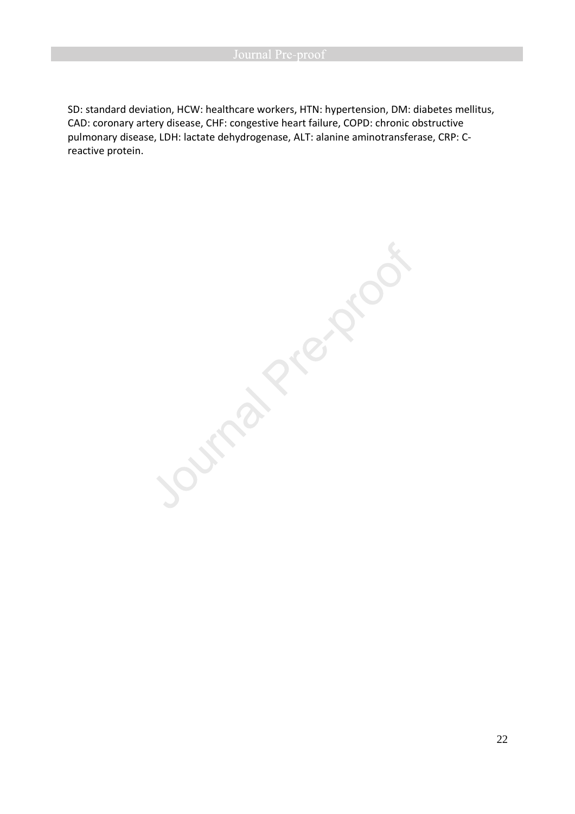SD: standard deviation, HCW: healthcare workers, HTN: hypertension, DM: diabetes mellitus, CAD: coronary artery disease, CHF: congestive heart failure, COPD: chronic obstructive pulmonary disease, LDH: lactate dehydrogenase, ALT: alanine aminotransferase, CRP: Creactive protein.

Journal Prezidos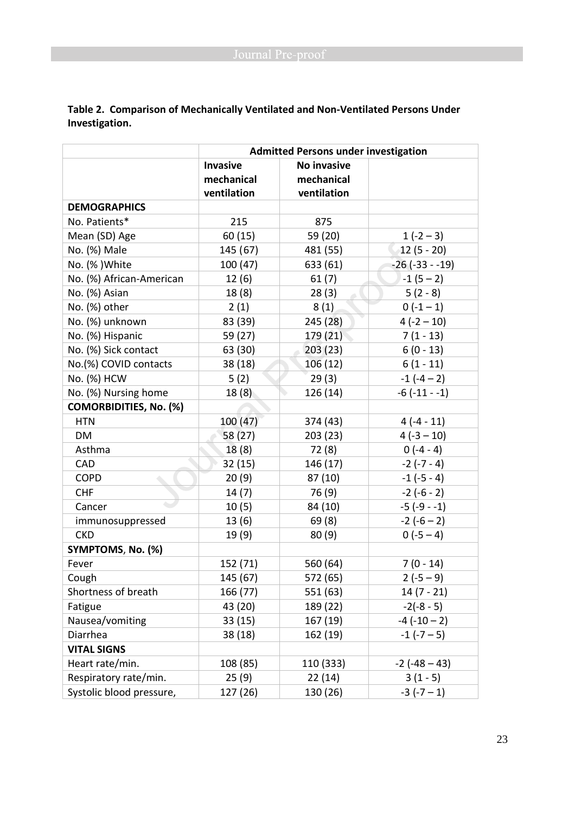|                               | <b>Admitted Persons under investigation</b> |             |                      |  |
|-------------------------------|---------------------------------------------|-------------|----------------------|--|
|                               | <b>Invasive</b>                             | No invasive |                      |  |
|                               | mechanical                                  | mechanical  |                      |  |
|                               | ventilation                                 | ventilation |                      |  |
| <b>DEMOGRAPHICS</b>           |                                             |             |                      |  |
| No. Patients*                 | 215                                         | 875         |                      |  |
| Mean (SD) Age                 | 60(15)                                      | 59 (20)     | $1(-2-3)$            |  |
| No. (%) Male                  | 145 (67)                                    | 481 (55)    | 12 (5 - 20)          |  |
| No. (%) White                 | 100 (47)                                    | 633 (61)    | $-26$ ( $-33 - 19$ ) |  |
| No. (%) African-American      | 12(6)                                       | 61(7)       | $-1(5-2)$            |  |
| No. (%) Asian                 | 18(8)                                       | 28(3)       | $5(2-8)$             |  |
| No. (%) other                 | 2(1)                                        | 8(1)        | $0(-1-1)$            |  |
| No. (%) unknown               | 83 (39)                                     | 245 (28)    | $4(-2 - 10)$         |  |
| No. (%) Hispanic              | 59 (27)                                     | 179 (21)    | $7(1 - 13)$          |  |
| No. (%) Sick contact          | 63 (30)                                     | 203(23)     | $6(0 - 13)$          |  |
| No.(%) COVID contacts         | 38(18)                                      | 106(12)     | $6(1 - 11)$          |  |
| No. (%) HCW                   | 5(2)                                        | 29(3)       | $-1(-4-2)$           |  |
| No. (%) Nursing home          | 18(8)                                       | 126(14)     | $-6$ $(-11 - -1)$    |  |
| <b>COMORBIDITIES, No. (%)</b> |                                             |             |                      |  |
| <b>HTN</b>                    | 100(47)                                     | 374 (43)    | $4(-4-11)$           |  |
| DM                            | 58 (27)                                     | 203(23)     | $4(-3-10)$           |  |
| Asthma                        | 18(8)                                       | 72 (8)      | $0(-4-4)$            |  |
| CAD                           | 32(15)                                      | 146 (17)    | $-2(-7-4)$           |  |
| <b>COPD</b>                   | 20(9)                                       | 87 (10)     | $-1$ ( $-5 - 4$ )    |  |
| <b>CHF</b>                    | 14(7)                                       | 76 (9)      | $-2(-6-2)$           |  |
| Cancer                        | 10(5)                                       | 84 (10)     | $-5(-9-1)$           |  |
| immunosuppressed              | 13(6)                                       | 69(8)       | $-2(-6-2)$           |  |
| <b>CKD</b>                    | 19(9)                                       | 80(9)       | $0(-5-4)$            |  |
| SYMPTOMS, No. (%)             |                                             |             |                      |  |
| Fever                         | 152 (71)                                    | 560 (64)    | $7(0 - 14)$          |  |
| Cough                         | 145 (67)                                    | 572 (65)    | $2(-5-9)$            |  |
| Shortness of breath           | 166 (77)                                    | 551 (63)    | $14(7 - 21)$         |  |
| Fatigue                       | 43 (20)                                     | 189 (22)    | $-2(-8-5)$           |  |
| Nausea/vomiting               | 33 (15)                                     | 167 (19)    | $-4(-10-2)$          |  |
| Diarrhea                      | 38 (18)                                     | 162 (19)    | $-1$ ( $-7-5$ )      |  |
| <b>VITAL SIGNS</b>            |                                             |             |                      |  |
| Heart rate/min.               | 108 (85)                                    | 110 (333)   | $-2$ ( $-48 - 43$ )  |  |
| Respiratory rate/min.         | 25(9)                                       | 22(14)      | $3(1-5)$             |  |
| Systolic blood pressure,      | 127 (26)                                    | 130 (26)    | $-3(-7-1)$           |  |

**Table 2. Comparison of Mechanically Ventilated and Non-Ventilated Persons Under Investigation.**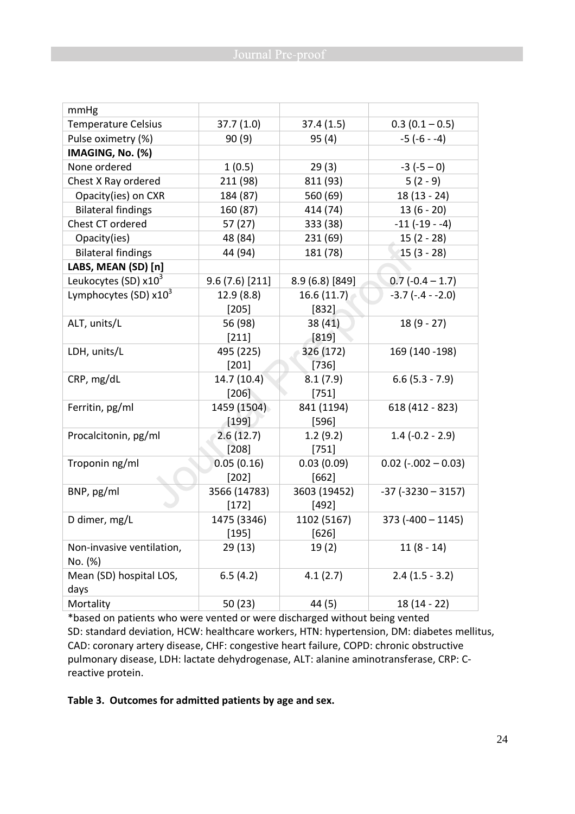| mmHg                      |               |                 |                           |
|---------------------------|---------------|-----------------|---------------------------|
| Temperature Celsius       | 37.7(1.0)     | 37.4(1.5)       | $0.3(0.1 - 0.5)$          |
| Pulse oximetry (%)        | 90(9)         | 95(4)           | $-5(-6 - -4)$             |
| IMAGING, No. (%)          |               |                 |                           |
| None ordered              | 1(0.5)        | 29(3)           | $-3(-5-0)$                |
| Chest X Ray ordered       | 211 (98)      | 811 (93)        | $5(2-9)$                  |
| Opacity(ies) on CXR       | 184 (87)      | 560 (69)        | $18(13 - 24)$             |
| <b>Bilateral findings</b> | 160 (87)      | 414 (74)        | $13(6 - 20)$              |
| Chest CT ordered          | 57(27)        | 333 (38)        | $-11(-19-4)$              |
| Opacity(ies)              | 48 (84)       | 231 (69)        | $15(2 - 28)$              |
| <b>Bilateral findings</b> | 44 (94)       | 181 (78)        | $15(3 - 28)$              |
| LABS, MEAN (SD) [n]       |               |                 |                           |
| Leukocytes (SD) $x10^3$   | 9.6(7.6)[211] | 8.9 (6.8) [849] | $0.7(-0.4 - 1.7)$         |
| Lymphocytes (SD) $x10^3$  | 12.9(8.8)     | 16.6(11.7)      | $-3.7$ ( $-4 - 2.0$ )     |
|                           | $[205]$       | $[832]$         |                           |
| ALT, units/L              | 56 (98)       | 38(41)          | $18(9 - 27)$              |
|                           | [211]         | $[819]$         |                           |
| LDH, units/L              | 495 (225)     | 326 (172)       | 169 (140 - 198)           |
|                           | $[201]$       | [736]           |                           |
| CRP, mg/dL                | 14.7(10.4)    | 8.1(7.9)        | $6.6$ (5.3 - 7.9)         |
|                           | [206]         | $[751]$         |                           |
| Ferritin, pg/ml           | 1459 (1504)   | 841 (1194)      | 618 (412 - 823)           |
|                           | [199]         | $[596]$         |                           |
| Procalcitonin, pg/ml      | 2.6(12.7)     | 1.2(9.2)        | $1.4$ (-0.2 - 2.9)        |
|                           | [208]         | $[751]$         |                           |
| Troponin ng/ml            | 0.05(0.16)    | 0.03(0.09)      | $0.02$ ( $-.002 - 0.03$ ) |
|                           | $[202]$       | $[662]$         |                           |
| BNP, pg/ml                | 3566 (14783)  | 3603 (19452)    | $-37$ ( $-3230 - 3157$ )  |
|                           | $[172]$       | $[492]$         |                           |
| D dimer, mg/L             | 1475 (3346)   | 1102 (5167)     | $373 (-400 - 1145)$       |
|                           | $[195]$       | $[626]$         |                           |
| Non-invasive ventilation, | 29(13)        | 19(2)           | $11(8 - 14)$              |
| No. (%)                   |               |                 |                           |
| Mean (SD) hospital LOS,   | 6.5(4.2)      | 4.1(2.7)        | $2.4(1.5 - 3.2)$          |
| days                      |               |                 |                           |
| Mortality                 | 50 (23)       | 44 (5)          | $18(14 - 22)$             |

\*based on patients who were vented or were discharged without being vented SD: standard deviation, HCW: healthcare workers, HTN: hypertension, DM: diabetes mellitus, CAD: coronary artery disease, CHF: congestive heart failure, COPD: chronic obstructive pulmonary disease, LDH: lactate dehydrogenase, ALT: alanine aminotransferase, CRP: Creactive protein.

## **Table 3. Outcomes for admitted patients by age and sex.**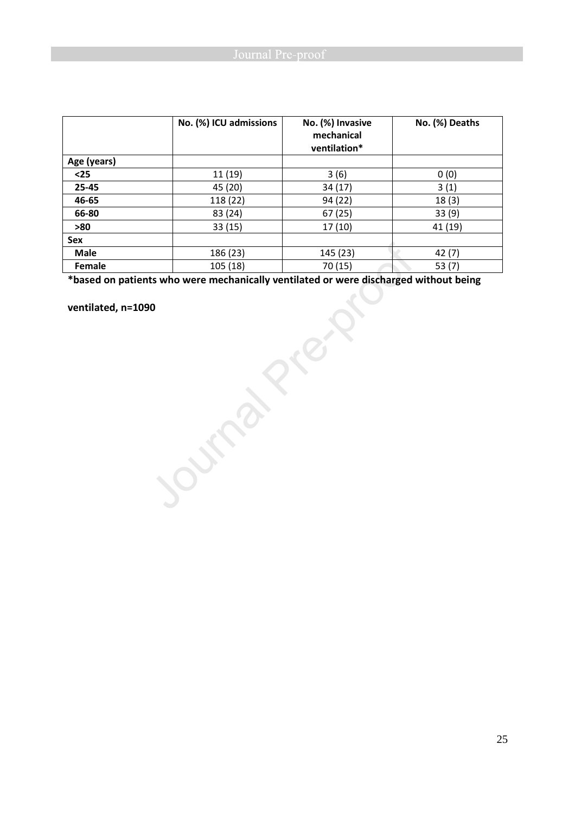|             | No. (%) ICU admissions | No. (%) Invasive<br>mechanical<br>ventilation* | No. (%) Deaths |
|-------------|------------------------|------------------------------------------------|----------------|
| Age (years) |                        |                                                |                |
| $25$        | 11 (19)                | 3(6)                                           | 0(0)           |
| 25-45       | 45 (20)                | 34 (17)                                        | 3(1)           |
| 46-65       | 118 (22)               | 94 (22)                                        | 18(3)          |
| 66-80       | 83 (24)                | 67(25)                                         | 33(9)          |
| >80         | 33(15)                 | 17(10)                                         | 41 (19)        |
| Sex         |                        |                                                |                |
| <b>Male</b> | 186 (23)               | 145 (23)                                       | 42(7)          |
| Female      | 105 (18)               | 70 (15)                                        | 53(7)          |

**System of the Contract of Section \*based on patients who were mechanically ventilated or were discharged without being** 

**ventilated, n=1090**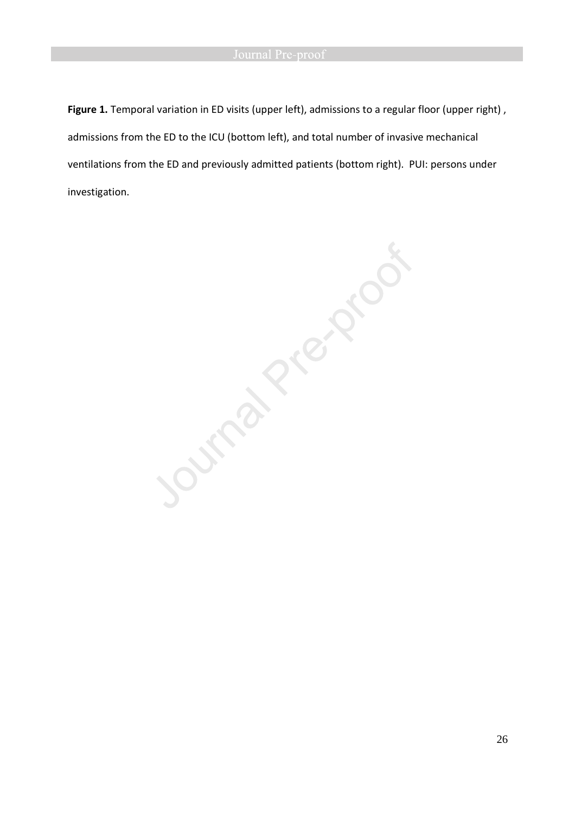**Figure 1.** Temporal variation in ED visits (upper left), admissions to a regular floor (upper right) , admissions from the ED to the ICU (bottom left), and total number of invasive mechanical investigation.

ventilations from the ED and previously admitted patients (bottom right). PUI: persons under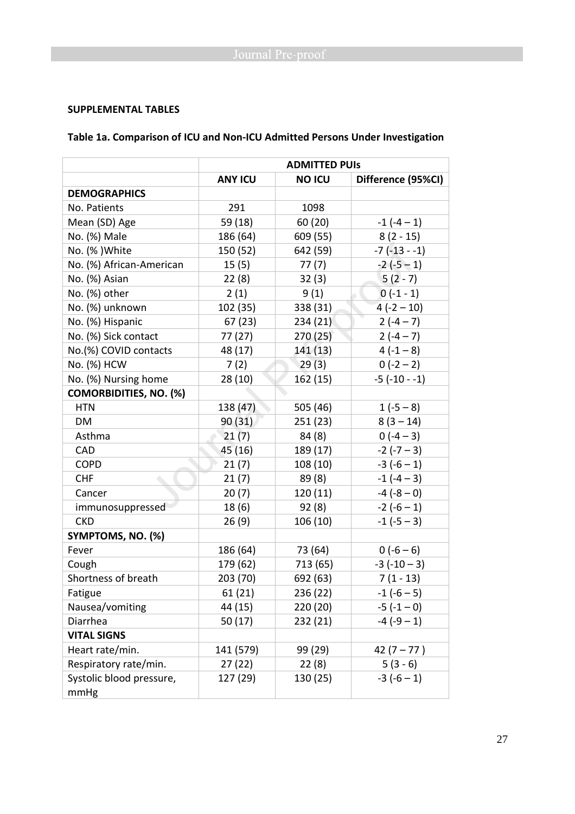## **SUPPLEMENTAL TABLES**

# **Table 1a. Comparison of ICU and Non-ICU Admitted Persons Under Investigation**

|                               | <b>ADMITTED PUIS</b> |               |                    |  |
|-------------------------------|----------------------|---------------|--------------------|--|
|                               | <b>ANY ICU</b>       | <b>NO ICU</b> | Difference (95%CI) |  |
| <b>DEMOGRAPHICS</b>           |                      |               |                    |  |
| No. Patients                  | 291                  | 1098          |                    |  |
| Mean (SD) Age                 | 59 (18)              | 60(20)        | $-1(-4-1)$         |  |
| No. (%) Male                  | 186 (64)             | 609 (55)      | $8(2 - 15)$        |  |
| No. (%) White                 | 150 (52)             | 642 (59)      | $-7(-13 - 1)$      |  |
| No. (%) African-American      | 15(5)                | 77(7)         | $-2(-5-1)$         |  |
| No. (%) Asian                 | 22(8)                | 32(3)         | $5(2-7)$           |  |
| No. (%) other                 | 2(1)                 | 9(1)          | $0(-1-1)$          |  |
| No. (%) unknown               | 102 (35)             | 338 (31)      | $4(-2-10)$         |  |
| No. (%) Hispanic              | 67(23)               | 234 (21)      | $2(-4-7)$          |  |
| No. (%) Sick contact          | 77 (27)              | 270(25)       | $2(-4-7)$          |  |
| No.(%) COVID contacts         | 48 (17)              | 141 (13)      | $4(-1-8)$          |  |
| No. (%) HCW                   | 7(2)                 | 29(3)         | $0(-2-2)$          |  |
| No. (%) Nursing home          | 28(10)               | 162(15)       | $-5$ ( $-10 - 1$ ) |  |
| <b>COMORBIDITIES, NO. (%)</b> |                      |               |                    |  |
| <b>HTN</b>                    | 138 (47)             | 505 (46)      | $1(-5-8)$          |  |
| DM                            | 90(31)               | 251(23)       | $8(3-14)$          |  |
| Asthma                        | 21(7)                | 84 (8)        | $0(-4-3)$          |  |
| <b>CAD</b>                    | 45 (16)              | 189 (17)      | $-2(-7-3)$         |  |
| <b>COPD</b>                   | 21(7)                | 108 (10)      | $-3(-6-1)$         |  |
| <b>CHF</b>                    | 21(7)                | 89(8)         | $-1(-4-3)$         |  |
| Cancer                        | 20(7)                | 120(11)       | $-4(-8-0)$         |  |
| immunosuppressed              | 18(6)                | 92(8)         | $-2(-6-1)$         |  |
| <b>CKD</b>                    | 26(9)                | 106 (10)      | $-1(-5-3)$         |  |
| SYMPTOMS, NO. (%)             |                      |               |                    |  |
| Fever                         | 186 (64)             | 73 (64)       | $0(-6-6)$          |  |
| Cough                         | 179 (62)             | 713 (65)      | $-3(-10-3)$        |  |
| Shortness of breath           | 203 (70)             | 692 (63)      | $7(1 - 13)$        |  |
| Fatigue                       | 61(21)               | 236 (22)      | $-1(-6-5)$         |  |
| Nausea/vomiting               | 44 (15)              | 220 (20)      | $-5(-1-0)$         |  |
| Diarrhea                      | 50 (17)              | 232 (21)      | $-4(-9-1)$         |  |
| <b>VITAL SIGNS</b>            |                      |               |                    |  |
| Heart rate/min.               | 141 (579)            | 99 (29)       | $42(7 - 77)$       |  |
| Respiratory rate/min.         | 27(22)               | 22(8)         | $5(3-6)$           |  |
| Systolic blood pressure,      | 127 (29)             | 130 (25)      | $-3(-6-1)$         |  |
| mmHg                          |                      |               |                    |  |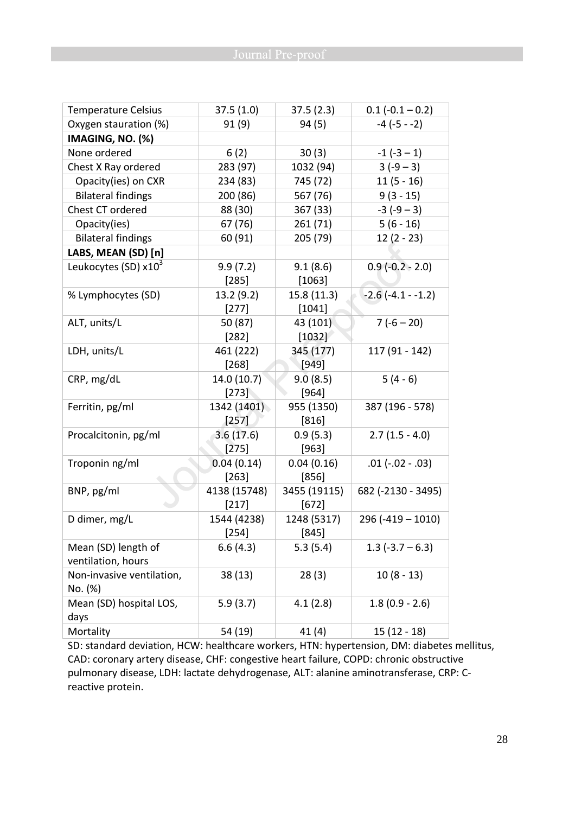| <b>Temperature Celsius</b> | 37.5(1.0)    | 37.5(2.3)    | $0.1 (-0.1 - 0.2)$  |
|----------------------------|--------------|--------------|---------------------|
| Oxygen stauration (%)      | 91(9)        | 94 (5)       | $-4(-5 - -2)$       |
| IMAGING, NO. (%)           |              |              |                     |
| None ordered               | 6(2)         | 30(3)        | $-1(-3-1)$          |
| Chest X Ray ordered        | 283 (97)     | 1032 (94)    | $3(-9-3)$           |
| Opacity(ies) on CXR        | 234 (83)     | 745 (72)     | $11(5 - 16)$        |
| <b>Bilateral findings</b>  | 200 (86)     | 567 (76)     | $9(3 - 15)$         |
| Chest CT ordered           | 88 (30)      | 367 (33)     | $-3(-9-3)$          |
| Opacity(ies)               | 67 (76)      | 261 (71)     | $5(6 - 16)$         |
| <b>Bilateral findings</b>  | 60 (91)      | 205 (79)     | $12(2 - 23)$        |
| LABS, MEAN (SD) [n]        |              |              |                     |
| Leukocytes (SD) $x10^3$    | 9.9(7.2)     | 9.1(8.6)     | $0.9(-0.2 - 2.0)$   |
|                            | $[285]$      | [1063]       |                     |
| % Lymphocytes (SD)         | 13.2 (9.2)   | 15.8(11.3)   | $-2.6(-4.1 - -1.2)$ |
|                            | $[277]$      | [1041]       |                     |
| ALT, units/L               | 50 (87)      | 43 (101)     | $7(-6 - 20)$        |
|                            | $[282]$      | $[1032]$     |                     |
| LDH, units/L               | 461 (222)    | 345 (177)    | 117 (91 - 142)      |
|                            | $[268]$      | [949]        |                     |
| CRP, mg/dL                 | 14.0 (10.7)  | 9.0(8.5)     | $5(4-6)$            |
|                            | $[273]$      | $[964]$      |                     |
| Ferritin, pg/ml            | 1342 (1401)  | 955 (1350)   | 387 (196 - 578)     |
|                            | $[257]$      | [816]        |                     |
| Procalcitonin, pg/ml       | 3.6(17.6)    | 0.9(5.3)     | $2.7(1.5 - 4.0)$    |
|                            | $[275]$      | [963]        |                     |
| Troponin ng/ml             | 0.04(0.14)   | 0.04(0.16)   | $.01 (-.02 - .03)$  |
|                            | $[263]$      | $[856]$      |                     |
| BNP, pg/ml                 | 4138 (15748) | 3455 (19115) | 682 (-2130 - 3495)  |
|                            | [217]        | $[672]$      |                     |
| D dimer, mg/L              | 1544 (4238)  | 1248 (5317)  | $296 (-419 - 1010)$ |
|                            | $[254]$      | $[845]$      |                     |
| Mean (SD) length of        | 6.6(4.3)     | 5.3(5.4)     | $1.3$ (-3.7 – 6.3)  |
| ventilation, hours         |              |              |                     |
| Non-invasive ventilation,  | 38 (13)      | 28(3)        | $10(8-13)$          |
| No. (%)                    |              |              |                     |
| Mean (SD) hospital LOS,    | 5.9(3.7)     | 4.1(2.8)     | $1.8(0.9 - 2.6)$    |
| days                       |              |              |                     |
| Mortality                  | 54 (19)      | 41(4)        | $15(12-18)$         |

SD: standard deviation, HCW: healthcare workers, HTN: hypertension, DM: diabetes mellitus, CAD: coronary artery disease, CHF: congestive heart failure, COPD: chronic obstructive pulmonary disease, LDH: lactate dehydrogenase, ALT: alanine aminotransferase, CRP: Creactive protein.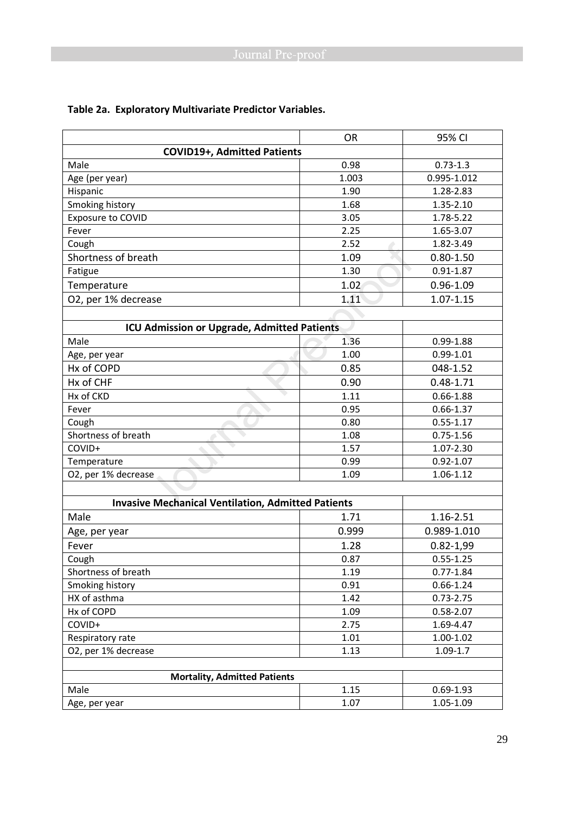|                                                           | <b>OR</b> | 95% CI        |  |  |  |  |
|-----------------------------------------------------------|-----------|---------------|--|--|--|--|
| <b>COVID19+, Admitted Patients</b>                        |           |               |  |  |  |  |
| Male<br>0.98<br>$0.73 - 1.3$                              |           |               |  |  |  |  |
| Age (per year)                                            | 1.003     | 0.995-1.012   |  |  |  |  |
| Hispanic                                                  | 1.90      | 1.28-2.83     |  |  |  |  |
| Smoking history                                           | 1.68      | 1.35-2.10     |  |  |  |  |
| <b>Exposure to COVID</b>                                  | 3.05      | 1.78-5.22     |  |  |  |  |
| Fever                                                     | 2.25      | 1.65-3.07     |  |  |  |  |
| Cough                                                     | 2.52      | 1.82-3.49     |  |  |  |  |
| Shortness of breath                                       | 1.09      | $0.80 - 1.50$ |  |  |  |  |
| Fatigue                                                   | 1.30      | $0.91 - 1.87$ |  |  |  |  |
| Temperature                                               | 1.02      | $0.96 - 1.09$ |  |  |  |  |
| O2, per 1% decrease                                       | 1.11      | $1.07 - 1.15$ |  |  |  |  |
|                                                           |           |               |  |  |  |  |
| ICU Admission or Upgrade, Admitted Patients               |           |               |  |  |  |  |
| Male                                                      | 1.36      | $0.99 - 1.88$ |  |  |  |  |
| Age, per year                                             | 1.00      | $0.99 - 1.01$ |  |  |  |  |
| Hx of COPD                                                | 0.85      | 048-1.52      |  |  |  |  |
| Hx of CHF                                                 | 0.90      | $0.48 - 1.71$ |  |  |  |  |
| Hx of CKD                                                 | 1.11      | $0.66 - 1.88$ |  |  |  |  |
| Fever                                                     | 0.95      | $0.66 - 1.37$ |  |  |  |  |
| Cough                                                     | 0.80      | $0.55 - 1.17$ |  |  |  |  |
| Shortness of breath                                       | 1.08      | $0.75 - 1.56$ |  |  |  |  |
| COVID+                                                    | 1.57      | 1.07-2.30     |  |  |  |  |
| Temperature                                               | 0.99      | $0.92 - 1.07$ |  |  |  |  |
| O2, per 1% decrease                                       | 1.09      | 1.06-1.12     |  |  |  |  |
|                                                           |           |               |  |  |  |  |
| <b>Invasive Mechanical Ventilation, Admitted Patients</b> |           |               |  |  |  |  |
| Male                                                      | 1.71      | 1.16-2.51     |  |  |  |  |
| Age, per year                                             | 0.999     | 0.989-1.010   |  |  |  |  |
| Fever                                                     | 1.28      | $0.82 - 1,99$ |  |  |  |  |
| Cough                                                     | 0.87      | $0.55 - 1.25$ |  |  |  |  |
| Shortness of breath                                       | 1.19      | $0.77 - 1.84$ |  |  |  |  |
| Smoking history                                           | 0.91      | $0.66 - 1.24$ |  |  |  |  |
| HX of asthma                                              | 1.42      | $0.73 - 2.75$ |  |  |  |  |
| Hx of COPD                                                | 1.09      | $0.58 - 2.07$ |  |  |  |  |
| COVID+                                                    | 2.75      | 1.69-4.47     |  |  |  |  |
| Respiratory rate                                          | 1.01      | 1.00-1.02     |  |  |  |  |
| O2, per 1% decrease                                       | 1.13      | $1.09 - 1.7$  |  |  |  |  |
|                                                           |           |               |  |  |  |  |
| <b>Mortality, Admitted Patients</b>                       |           |               |  |  |  |  |
| Male                                                      | 1.15      | $0.69 - 1.93$ |  |  |  |  |
| Age, per year                                             | 1.07      | 1.05-1.09     |  |  |  |  |

# **Table 2a. Exploratory Multivariate Predictor Variables.**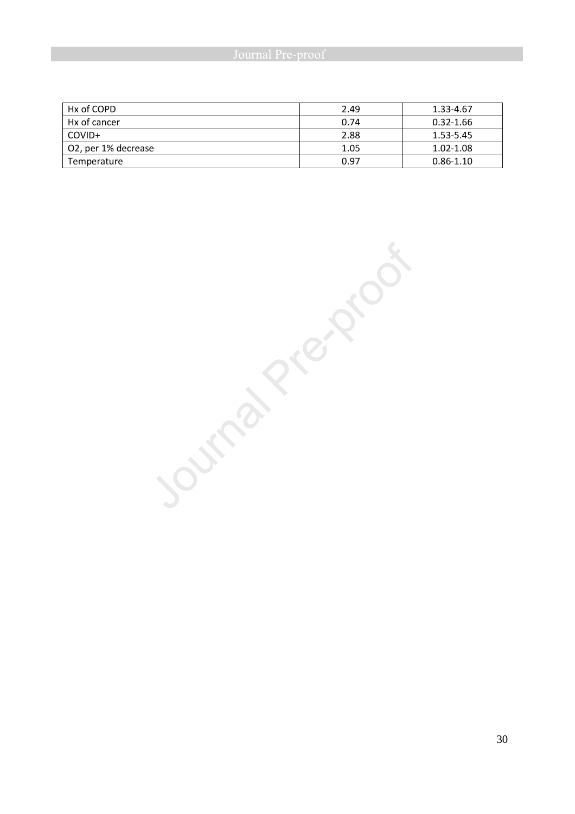| Hx of COPD          | 2.49 | 1.33-4.67     |
|---------------------|------|---------------|
| Hx of cancer        | 0.74 | $0.32 - 1.66$ |
| COVID+              | 2.88 | 1.53-5.45     |
| O2, per 1% decrease | 1.05 | 1.02-1.08     |
| Temperature         | በ 97 | $0.86 - 1.10$ |

Journal Prezence